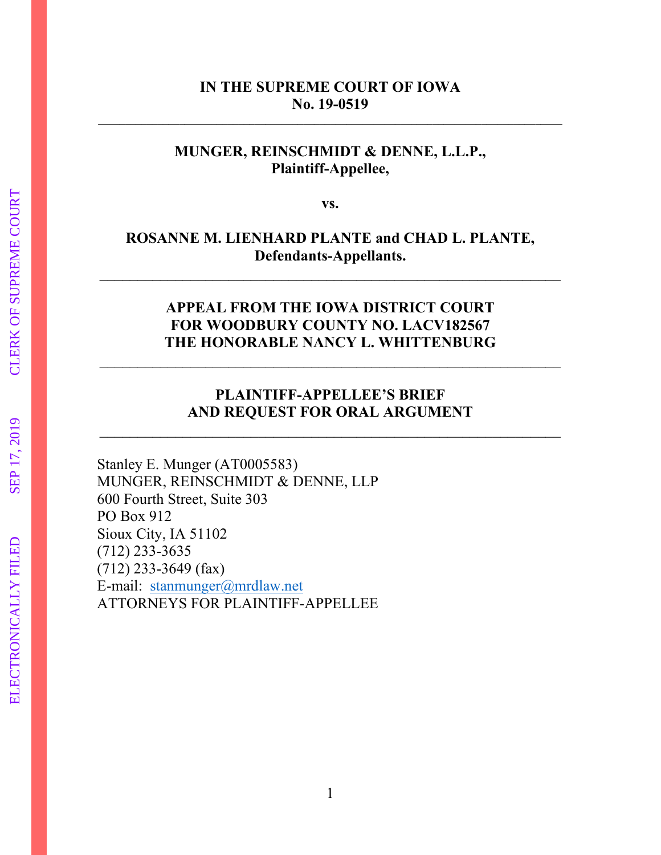## **IN THE SUPREME COURT OF IOWA No. 19-0519**

 $\mathcal{L}_\mathcal{L} = \{ \mathcal{L}_\mathcal{L} = \{ \mathcal{L}_\mathcal{L} = \{ \mathcal{L}_\mathcal{L} = \{ \mathcal{L}_\mathcal{L} = \{ \mathcal{L}_\mathcal{L} = \{ \mathcal{L}_\mathcal{L} = \{ \mathcal{L}_\mathcal{L} = \{ \mathcal{L}_\mathcal{L} = \{ \mathcal{L}_\mathcal{L} = \{ \mathcal{L}_\mathcal{L} = \{ \mathcal{L}_\mathcal{L} = \{ \mathcal{L}_\mathcal{L} = \{ \mathcal{L}_\mathcal{L} = \{ \mathcal{L}_\mathcal{$ 

# **MUNGER, REINSCHMIDT & DENNE, L.L.P., Plaintiff-Appellee,**

**vs.** 

# **ROSANNE M. LIENHARD PLANTE and CHAD L. PLANTE, Defendants-Appellants.**

 $\mathcal{L}_\text{max}$  , and the contract of the contract of the contract of the contract of the contract of the contract of the contract of the contract of the contract of the contract of the contract of the contract of the contr

# **APPEAL FROM THE IOWA DISTRICT COURT FOR WOODBURY COUNTY NO. LACV182567 THE HONORABLE NANCY L. WHITTENBURG**

\_\_\_\_\_\_\_\_\_\_\_\_\_\_\_\_\_\_\_\_\_\_\_\_\_\_\_\_\_\_\_\_\_\_\_\_\_\_\_\_\_\_\_\_\_\_\_\_\_\_\_\_\_\_\_\_\_\_\_\_\_

# **PLAINTIFF-APPELLEE'S BRIEF AND REQUEST FOR ORAL ARGUMENT**

 $\mathcal{L}_\text{max}$  , and the contract of the contract of the contract of the contract of the contract of the contract of the contract of the contract of the contract of the contract of the contract of the contract of the contr

Stanley E. Munger (AT0005583) MUNGER, REINSCHMIDT & DENNE, LLP 600 Fourth Street, Suite 303 PO Box 912 Sioux City, IA 51102 (712) 233-3635 (712) 233-3649 (fax) E-mail: [stanmunger@mrdlaw.net](mailto:stanmunger@mrdlaw.net)  ATTORNEYS FOR PLAINTIFF-APPELLEE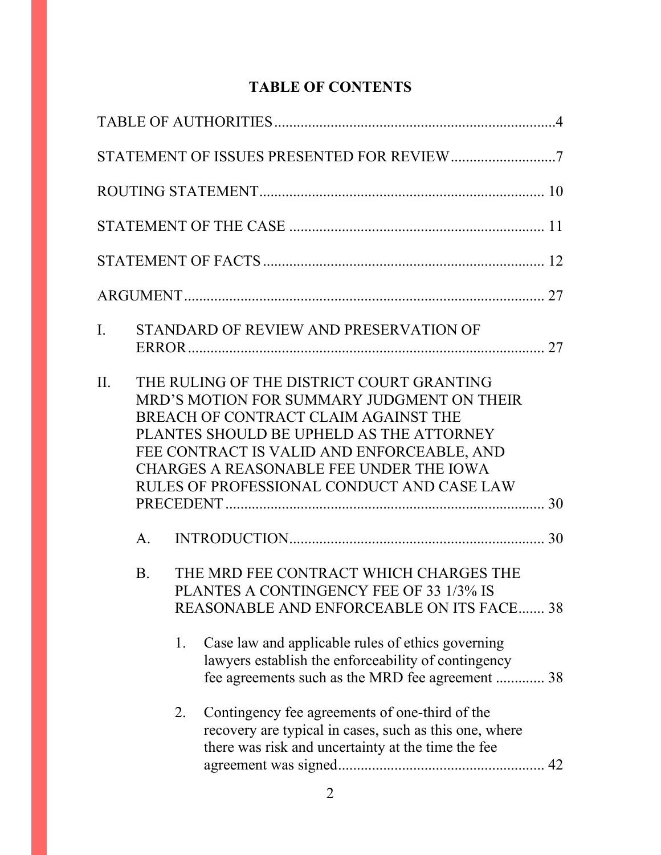# **TABLE OF CONTENTS**

| I.  |             |    | STANDARD OF REVIEW AND PRESERVATION OF                                                                                                                                                                                                                                                                             |    |  |  |  |  |
|-----|-------------|----|--------------------------------------------------------------------------------------------------------------------------------------------------------------------------------------------------------------------------------------------------------------------------------------------------------------------|----|--|--|--|--|
| II. |             |    | THE RULING OF THE DISTRICT COURT GRANTING<br>MRD'S MOTION FOR SUMMARY JUDGMENT ON THEIR<br>BREACH OF CONTRACT CLAIM AGAINST THE<br>PLANTES SHOULD BE UPHELD AS THE ATTORNEY<br>FEE CONTRACT IS VALID AND ENFORCEABLE, AND<br>CHARGES A REASONABLE FEE UNDER THE IOWA<br>RULES OF PROFESSIONAL CONDUCT AND CASE LAW |    |  |  |  |  |
|     | $A_{\cdot}$ |    |                                                                                                                                                                                                                                                                                                                    | 30 |  |  |  |  |
|     | <b>B.</b>   |    | THE MRD FEE CONTRACT WHICH CHARGES THE<br>PLANTES A CONTINGENCY FEE OF 33 1/3% IS<br>REASONABLE AND ENFORCEABLE ON ITS FACE 38                                                                                                                                                                                     |    |  |  |  |  |
|     |             | 1. | Case law and applicable rules of ethics governing<br>lawyers establish the enforceability of contingency<br>fee agreements such as the MRD fee agreement  38                                                                                                                                                       |    |  |  |  |  |
|     |             | 2. | Contingency fee agreements of one-third of the<br>recovery are typical in cases, such as this one, where<br>there was risk and uncertainty at the time the fee                                                                                                                                                     |    |  |  |  |  |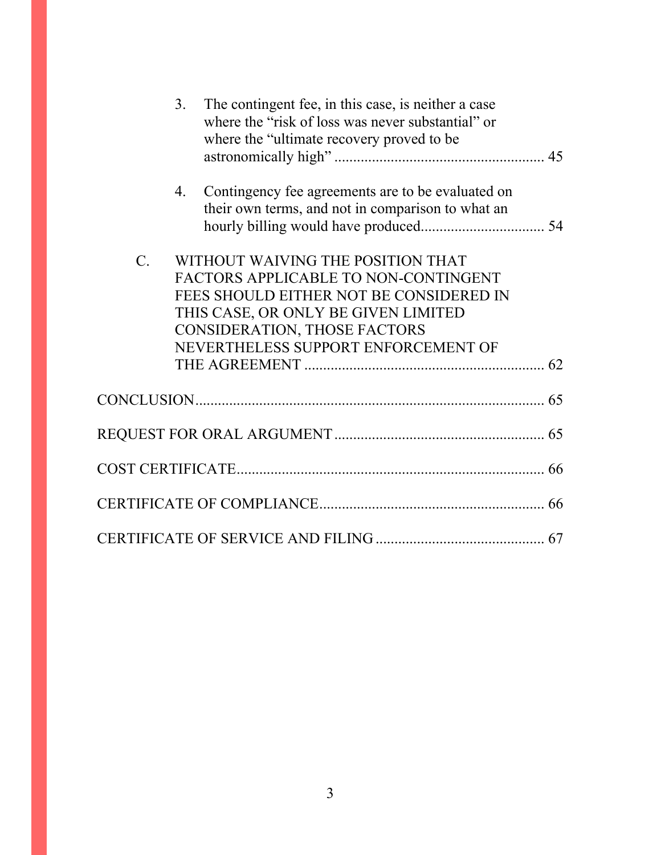|                 | $\overline{3}$ .<br>The contingent fee, in this case, is neither a case<br>where the "risk of loss was never substantial" or<br>where the "ultimate recovery proved to be                                                                 |  |
|-----------------|-------------------------------------------------------------------------------------------------------------------------------------------------------------------------------------------------------------------------------------------|--|
|                 | Contingency fee agreements are to be evaluated on<br>4.<br>their own terms, and not in comparison to what an                                                                                                                              |  |
| $\mathcal{C}$ . | WITHOUT WAIVING THE POSITION THAT<br>FACTORS APPLICABLE TO NON-CONTINGENT<br>FEES SHOULD EITHER NOT BE CONSIDERED IN<br>THIS CASE, OR ONLY BE GIVEN LIMITED<br><b>CONSIDERATION, THOSE FACTORS</b><br>NEVERTHELESS SUPPORT ENFORCEMENT OF |  |
|                 |                                                                                                                                                                                                                                           |  |
|                 |                                                                                                                                                                                                                                           |  |
|                 |                                                                                                                                                                                                                                           |  |
|                 |                                                                                                                                                                                                                                           |  |
|                 |                                                                                                                                                                                                                                           |  |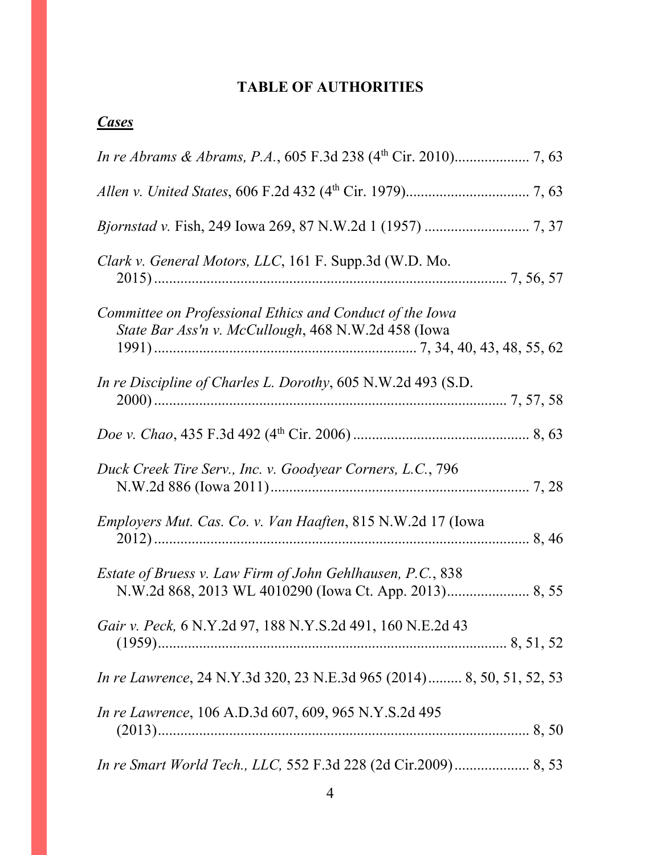# **TABLE OF AUTHORITIES**

# *Cases*

| Clark v. General Motors, LLC, 161 F. Supp.3d (W.D. Mo.                                                          |
|-----------------------------------------------------------------------------------------------------------------|
| Committee on Professional Ethics and Conduct of the Iowa<br>State Bar Ass'n v. McCullough, 468 N.W.2d 458 (Iowa |
| In re Discipline of Charles L. Dorothy, 605 N.W.2d 493 (S.D.                                                    |
|                                                                                                                 |
| Duck Creek Tire Serv., Inc. v. Goodyear Corners, L.C., 796                                                      |
| <i>Employers Mut. Cas. Co. v. Van Haaften, 815 N.W.2d 17 (Iowa</i>                                              |
| Estate of Bruess v. Law Firm of John Gehlhausen, P.C., 838                                                      |
| Gair v. Peck, 6 N.Y.2d 97, 188 N.Y.S.2d 491, 160 N.E.2d 43                                                      |
| <i>In re Lawrence</i> , 24 N.Y.3d 320, 23 N.E.3d 965 (2014) 8, 50, 51, 52, 53                                   |
| In re Lawrence, 106 A.D.3d 607, 609, 965 N.Y.S.2d 495                                                           |
| <i>In re Smart World Tech., LLC, 552 F.3d 228 (2d Cir.2009)</i> 8, 53                                           |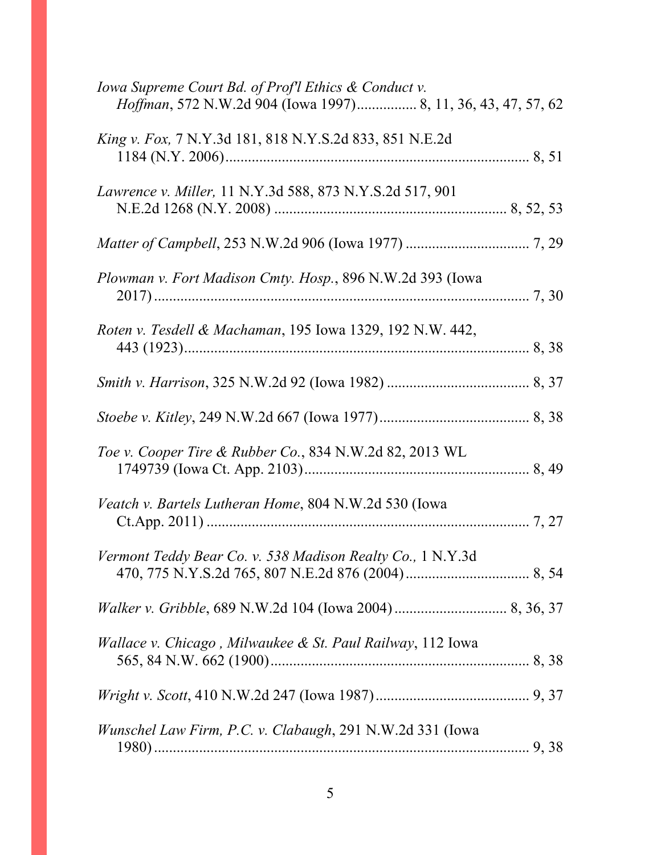| Iowa Supreme Court Bd. of Prof'l Ethics & Conduct v.<br>Hoffman, 572 N.W.2d 904 (Iowa 1997) 8, 11, 36, 43, 47, 57, 62 |
|-----------------------------------------------------------------------------------------------------------------------|
| <i>King v. Fox, 7 N.Y.3d 181, 818 N.Y.S.2d 833, 851 N.E.2d</i>                                                        |
| Lawrence v. Miller, 11 N.Y.3d 588, 873 N.Y.S.2d 517, 901                                                              |
|                                                                                                                       |
| Plowman v. Fort Madison Cmty. Hosp., 896 N.W.2d 393 (Iowa                                                             |
| Roten v. Tesdell & Machaman, 195 Iowa 1329, 192 N.W. 442,                                                             |
|                                                                                                                       |
|                                                                                                                       |
| Toe v. Cooper Tire & Rubber Co., 834 N.W.2d 82, 2013 WL                                                               |
| Veatch v. Bartels Lutheran Home, 804 N.W.2d 530 (Iowa                                                                 |
| Vermont Teddy Bear Co. v. 538 Madison Realty Co., 1 N.Y.3d                                                            |
|                                                                                                                       |
| Wallace v. Chicago, Milwaukee & St. Paul Railway, 112 Iowa                                                            |
|                                                                                                                       |
| Wunschel Law Firm, P.C. v. Clabaugh, 291 N.W.2d 331 (Iowa                                                             |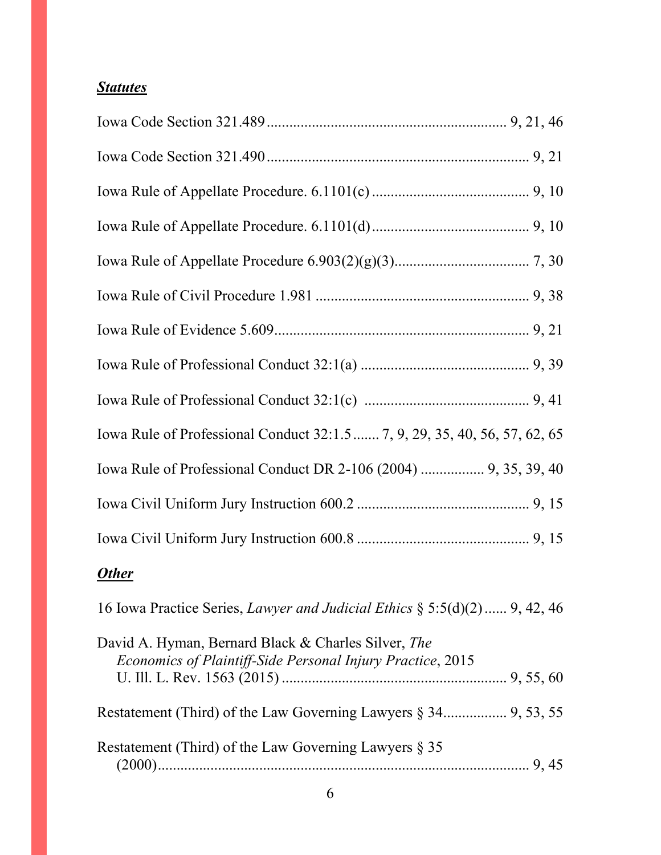# *Statutes*

| Iowa Rule of Professional Conduct 32:1.5  7, 9, 29, 35, 40, 56, 57, 62, 65                                        |
|-------------------------------------------------------------------------------------------------------------------|
| Iowa Rule of Professional Conduct DR 2-106 (2004)  9, 35, 39, 40                                                  |
|                                                                                                                   |
|                                                                                                                   |
| <b>Other</b>                                                                                                      |
| 16 Iowa Practice Series, <i>Lawyer and Judicial Ethics</i> $\S 5:5(d)(2)$ 9, 42, 46                               |
| David A. Hyman, Bernard Black & Charles Silver, The<br>Economics of Plaintiff-Side Personal Injury Practice, 2015 |
|                                                                                                                   |
| Restatement (Third) of the Law Governing Lawyers $\S 35$                                                          |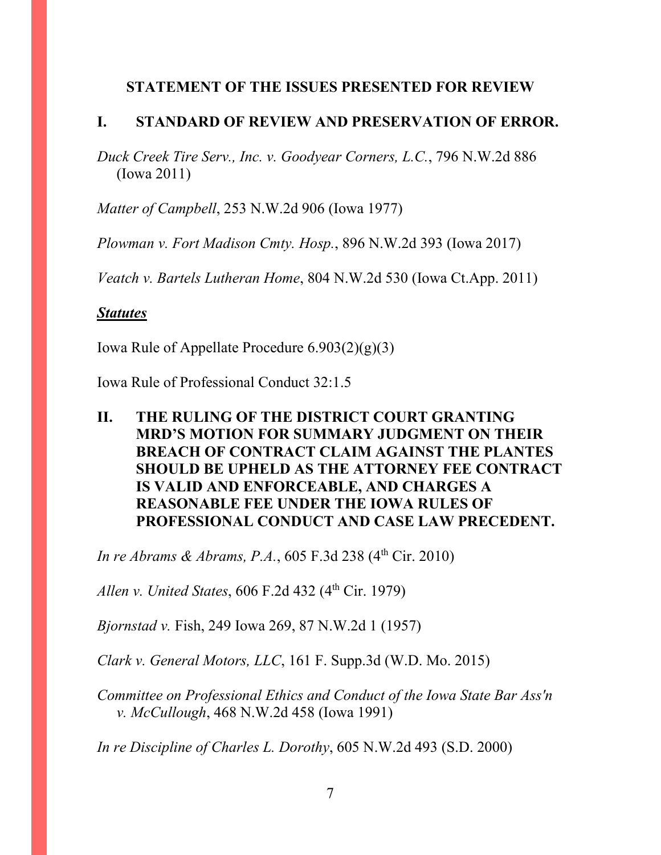## **STATEMENT OF THE ISSUES PRESENTED FOR REVIEW**

## **I. STANDARD OF REVIEW AND PRESERVATION OF ERROR.**

*Duck Creek Tire Serv., Inc. v. Goodyear Corners, L.C.*, 796 N.W.2d 886 (Iowa 2011)

*Matter of Campbell*, 253 N.W.2d 906 (Iowa 1977)

*Plowman v. Fort Madison Cmty. Hosp.*, 896 N.W.2d 393 (Iowa 2017)

*Veatch v. Bartels Lutheran Home*, 804 N.W.2d 530 (Iowa Ct.App. 2011)

## *Statutes*

Iowa Rule of Appellate Procedure  $6.903(2)(g)(3)$ 

Iowa Rule of Professional Conduct 32:1.5

# **II. THE RULING OF THE DISTRICT COURT GRANTING MRD'S MOTION FOR SUMMARY JUDGMENT ON THEIR BREACH OF CONTRACT CLAIM AGAINST THE PLANTES SHOULD BE UPHELD AS THE ATTORNEY FEE CONTRACT IS VALID AND ENFORCEABLE, AND CHARGES A REASONABLE FEE UNDER THE IOWA RULES OF PROFESSIONAL CONDUCT AND CASE LAW PRECEDENT.**

*In re Abrams & Abrams, P.A.*, 605 F.3d 238 (4<sup>th</sup> Cir. 2010)

*Allen v. United States, 606 F.2d 432 (4th Cir. 1979)* 

*Bjornstad v.* Fish, 249 Iowa 269, 87 N.W.2d 1 (1957)

*Clark v. General Motors, LLC*, 161 F. Supp.3d (W.D. Mo. 2015)

*Committee on Professional Ethics and Conduct of the Iowa State Bar Ass'n v. McCullough*, 468 N.W.2d 458 (Iowa 1991)

*In re Discipline of Charles L. Dorothy*, 605 N.W.2d 493 (S.D. 2000)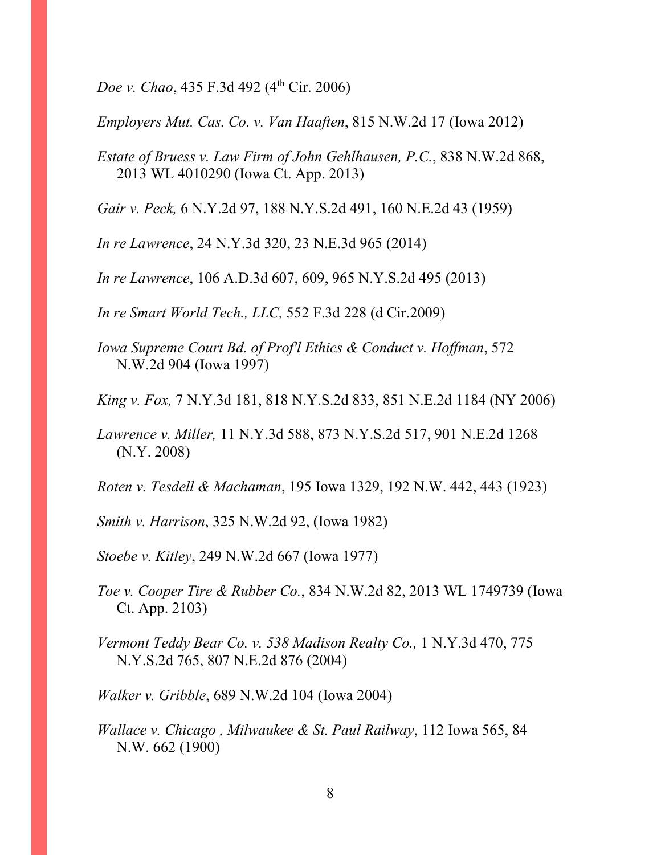*Doe v. Chao*, 435 F.3d 492 (4<sup>th</sup> Cir. 2006)

*Employers Mut. Cas. Co. v. Van Haaften*, 815 N.W.2d 17 (Iowa 2012)

*Estate of Bruess v. Law Firm of John Gehlhausen, P.C.*, 838 N.W.2d 868, 2013 WL 4010290 (Iowa Ct. App. 2013)

*Gair v. Peck,* 6 N.Y.2d 97, 188 N.Y.S.2d 491, 160 N.E.2d 43 (1959)

*In re Lawrence*, 24 N.Y.3d 320, 23 N.E.3d 965 (2014)

*In re Lawrence*, 106 A.D.3d 607, 609, 965 N.Y.S.2d 495 (2013)

*In re Smart World Tech., LLC,* 552 F.3d 228 (d Cir.2009)

*Iowa Supreme Court Bd. of Prof'l Ethics & Conduct v. Hoffman*, 572 N.W.2d 904 (Iowa 1997)

*King v. Fox,* 7 N.Y.3d 181, 818 N.Y.S.2d 833, 851 N.E.2d 1184 (NY 2006)

*Lawrence v. Miller,* 11 N.Y.3d 588, 873 N.Y.S.2d 517, 901 N.E.2d 1268 (N.Y. 2008)

*Roten v. Tesdell & Machaman*, 195 Iowa 1329, 192 N.W. 442, 443 (1923)

*Smith v. Harrison*, 325 N.W.2d 92, (Iowa 1982)

*Stoebe v. Kitley*, 249 N.W.2d 667 (Iowa 1977)

*Toe v. Cooper Tire & Rubber Co.*, 834 N.W.2d 82, 2013 WL 1749739 (Iowa Ct. App. 2103)

*Vermont Teddy Bear Co. v. 538 Madison Realty Co.,* 1 N.Y.3d 470, 775 N.Y.S.2d 765, 807 N.E.2d 876 (2004)

*Walker v. Gribble*, 689 N.W.2d 104 (Iowa 2004)

*Wallace v. Chicago , Milwaukee & St. Paul Railway*, 112 Iowa 565, 84 N.W. 662 (1900)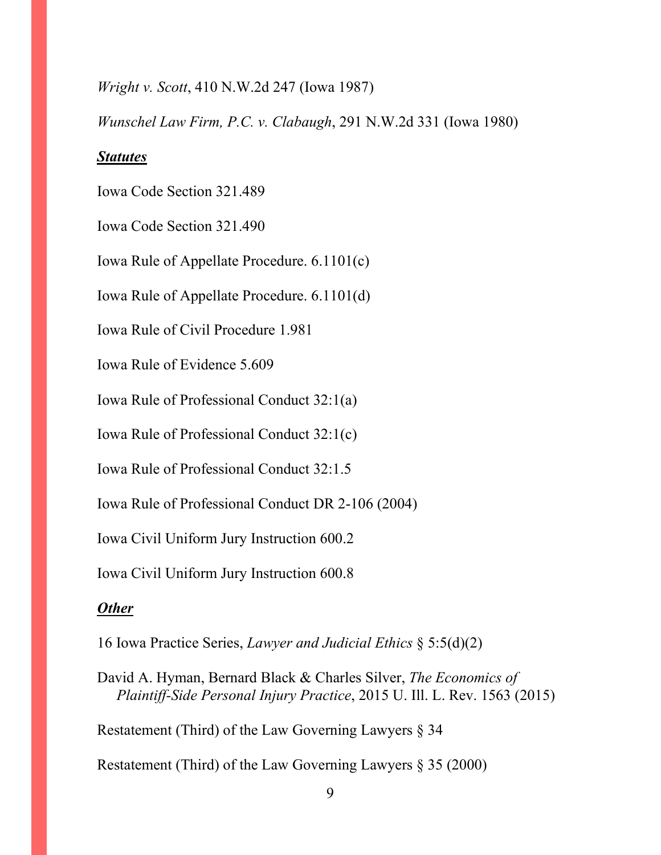#### *Wright v. Scott*, 410 N.W.2d 247 (Iowa 1987)

*Wunschel Law Firm, P.C. v. Clabaugh*, 291 N.W.2d 331 (Iowa 1980)

#### *Statutes*

Iowa Code Section 321.489

Iowa Code Section 321.490

Iowa Rule of Appellate Procedure. 6.1101(c)

Iowa Rule of Appellate Procedure. 6.1101(d)

Iowa Rule of Civil Procedure 1.981

Iowa Rule of Evidence 5.609

Iowa Rule of Professional Conduct 32:1(a)

Iowa Rule of Professional Conduct 32:1(c)

Iowa Rule of Professional Conduct 32:1.5

Iowa Rule of Professional Conduct DR 2-106 (2004)

Iowa Civil Uniform Jury Instruction 600.2

Iowa Civil Uniform Jury Instruction 600.8

#### *Other*

16 Iowa Practice Series, *Lawyer and Judicial Ethics* § 5:5(d)(2)

David A. Hyman, Bernard Black & Charles Silver, *The Economics of Plaintiff-Side Personal Injury Practice*, 2015 U. Ill. L. Rev. 1563 (2015)

Restatement (Third) of the Law Governing Lawyers § 34

Restatement (Third) of the Law Governing Lawyers § 35 (2000)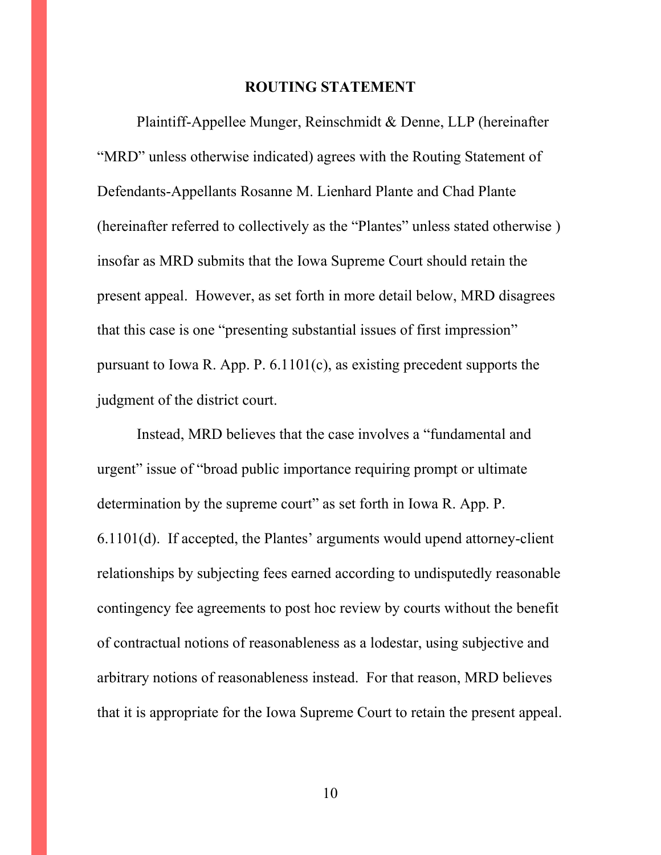#### **ROUTING STATEMENT**

Plaintiff-Appellee Munger, Reinschmidt & Denne, LLP (hereinafter "MRD" unless otherwise indicated) agrees with the Routing Statement of Defendants-Appellants Rosanne M. Lienhard Plante and Chad Plante (hereinafter referred to collectively as the "Plantes" unless stated otherwise ) insofar as MRD submits that the Iowa Supreme Court should retain the present appeal. However, as set forth in more detail below, MRD disagrees that this case is one "presenting substantial issues of first impression" pursuant to Iowa R. App. P. 6.1101(c), as existing precedent supports the judgment of the district court.

Instead, MRD believes that the case involves a "fundamental and urgent" issue of "broad public importance requiring prompt or ultimate determination by the supreme court" as set forth in Iowa R. App. P. 6.1101(d). If accepted, the Plantes' arguments would upend attorney-client relationships by subjecting fees earned according to undisputedly reasonable contingency fee agreements to post hoc review by courts without the benefit of contractual notions of reasonableness as a lodestar, using subjective and arbitrary notions of reasonableness instead. For that reason, MRD believes that it is appropriate for the Iowa Supreme Court to retain the present appeal.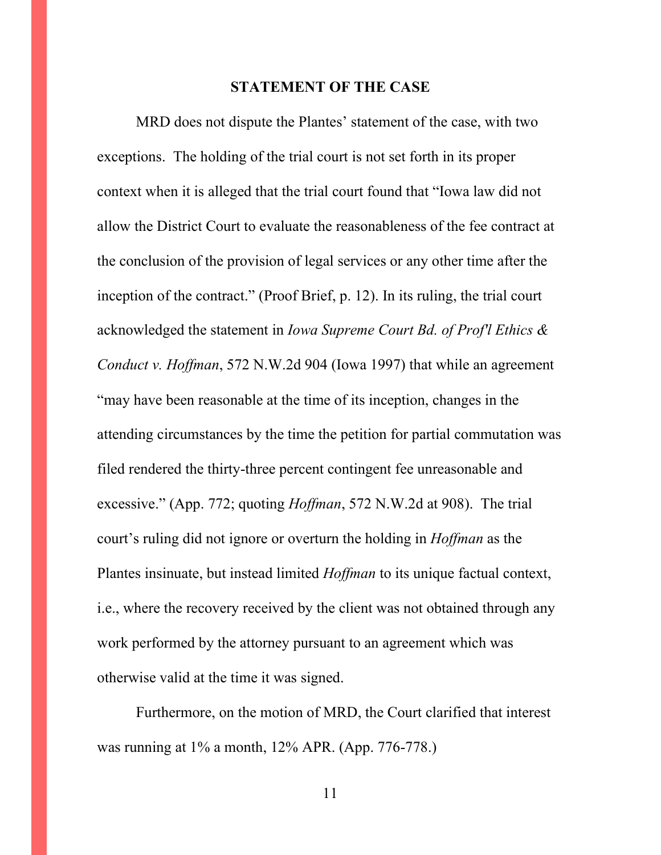#### **STATEMENT OF THE CASE**

MRD does not dispute the Plantes' statement of the case, with two exceptions. The holding of the trial court is not set forth in its proper context when it is alleged that the trial court found that "Iowa law did not allow the District Court to evaluate the reasonableness of the fee contract at the conclusion of the provision of legal services or any other time after the inception of the contract." (Proof Brief, p. 12). In its ruling, the trial court acknowledged the statement in *Iowa Supreme Court Bd. of Prof'l Ethics & Conduct v. Hoffman*, 572 N.W.2d 904 (Iowa 1997) that while an agreement "may have been reasonable at the time of its inception, changes in the attending circumstances by the time the petition for partial commutation was filed rendered the thirty-three percent contingent fee unreasonable and excessive." (App. 772; quoting *Hoffman*, 572 N.W.2d at 908). The trial court's ruling did not ignore or overturn the holding in *Hoffman* as the Plantes insinuate, but instead limited *Hoffman* to its unique factual context, i.e., where the recovery received by the client was not obtained through any work performed by the attorney pursuant to an agreement which was otherwise valid at the time it was signed.

Furthermore, on the motion of MRD, the Court clarified that interest was running at 1% a month, 12% APR. (App. 776-778.)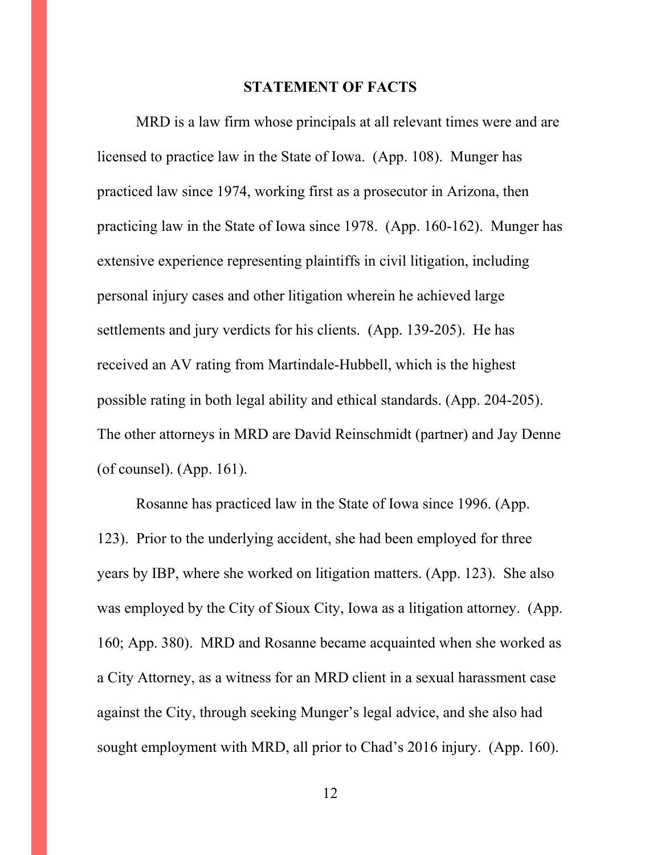#### **STATEMENT OF FACTS**

MRD is a law firm whose principals at all relevant times were and are licensed to practice law in the State of Iowa. (App. 108). Munger has practiced law since 1974, working first as a prosecutor in Arizona, then practicing law in the State of Iowa since 1978. (App. 160-162). Munger has extensive experience representing plaintiffs in civil litigation, including personal injury cases and other litigation wherein he achieved large settlements and jury verdicts for his clients. (App. 139-205). He has received an AV rating from Martindale-Hubbell, which is the highest possible rating in both legal ability and ethical standards. (App. 204-205). The other attorneys in MRD are David Reinschmidt (partner) and Jay Denne (of counsel). (App. 161).

Rosanne has practiced law in the State of Iowa since 1996. (App. 123). Prior to the underlying accident, she had been employed for three years by IBP, where she worked on litigation matters. (App. 123). She also was employed by the City of Sioux City, Iowa as a litigation attorney. (App. 160; App. 380). MRD and Rosanne became acquainted when she worked as a City Attorney, as a witness for an MRD client in a sexual harassment case against the City, through seeking Munger's legal advice, and she also had sought employment with MRD, all prior to Chad's 2016 injury. (App. 160).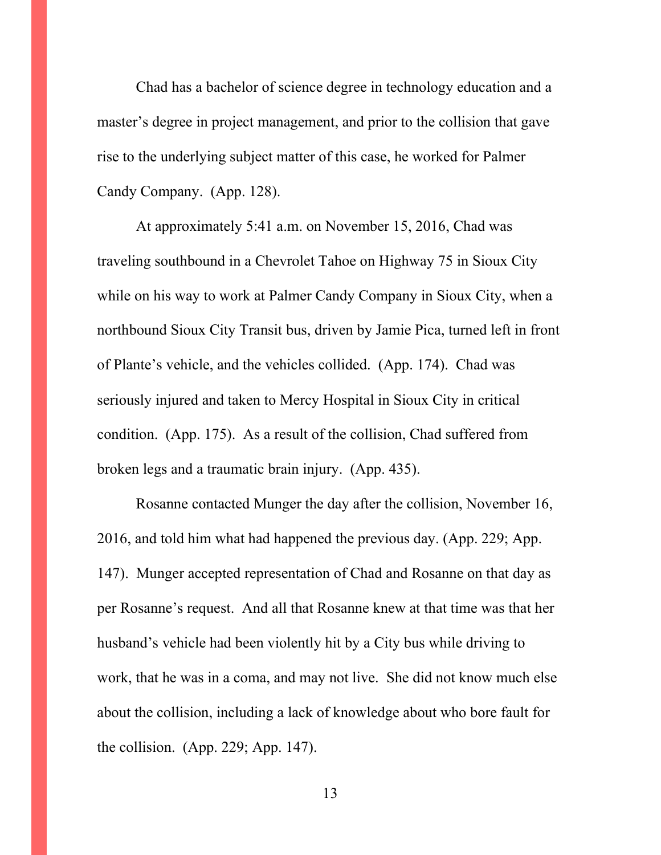Chad has a bachelor of science degree in technology education and a master's degree in project management, and prior to the collision that gave rise to the underlying subject matter of this case, he worked for Palmer Candy Company. (App. 128).

At approximately 5:41 a.m. on November 15, 2016, Chad was traveling southbound in a Chevrolet Tahoe on Highway 75 in Sioux City while on his way to work at Palmer Candy Company in Sioux City, when a northbound Sioux City Transit bus, driven by Jamie Pica, turned left in front of Plante's vehicle, and the vehicles collided. (App. 174). Chad was seriously injured and taken to Mercy Hospital in Sioux City in critical condition. (App. 175). As a result of the collision, Chad suffered from broken legs and a traumatic brain injury. (App. 435).

Rosanne contacted Munger the day after the collision, November 16, 2016, and told him what had happened the previous day. (App. 229; App. 147). Munger accepted representation of Chad and Rosanne on that day as per Rosanne's request. And all that Rosanne knew at that time was that her husband's vehicle had been violently hit by a City bus while driving to work, that he was in a coma, and may not live. She did not know much else about the collision, including a lack of knowledge about who bore fault for the collision. (App. 229; App. 147).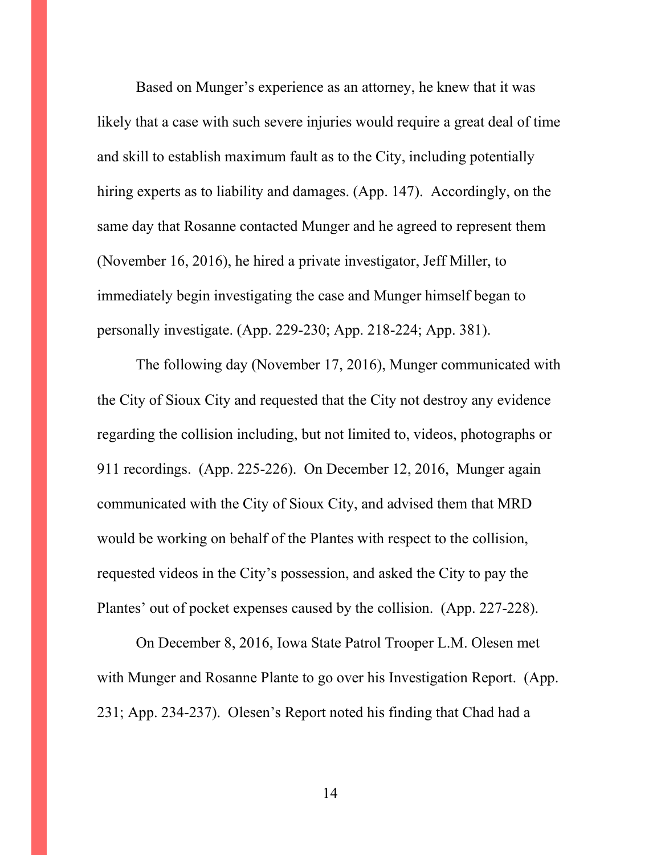Based on Munger's experience as an attorney, he knew that it was likely that a case with such severe injuries would require a great deal of time and skill to establish maximum fault as to the City, including potentially hiring experts as to liability and damages. (App. 147). Accordingly, on the same day that Rosanne contacted Munger and he agreed to represent them (November 16, 2016), he hired a private investigator, Jeff Miller, to immediately begin investigating the case and Munger himself began to personally investigate. (App. 229-230; App. 218-224; App. 381).

The following day (November 17, 2016), Munger communicated with the City of Sioux City and requested that the City not destroy any evidence regarding the collision including, but not limited to, videos, photographs or 911 recordings. (App. 225-226). On December 12, 2016, Munger again communicated with the City of Sioux City, and advised them that MRD would be working on behalf of the Plantes with respect to the collision, requested videos in the City's possession, and asked the City to pay the Plantes' out of pocket expenses caused by the collision. (App. 227-228).

On December 8, 2016, Iowa State Patrol Trooper L.M. Olesen met with Munger and Rosanne Plante to go over his Investigation Report. (App. 231; App. 234-237). Olesen's Report noted his finding that Chad had a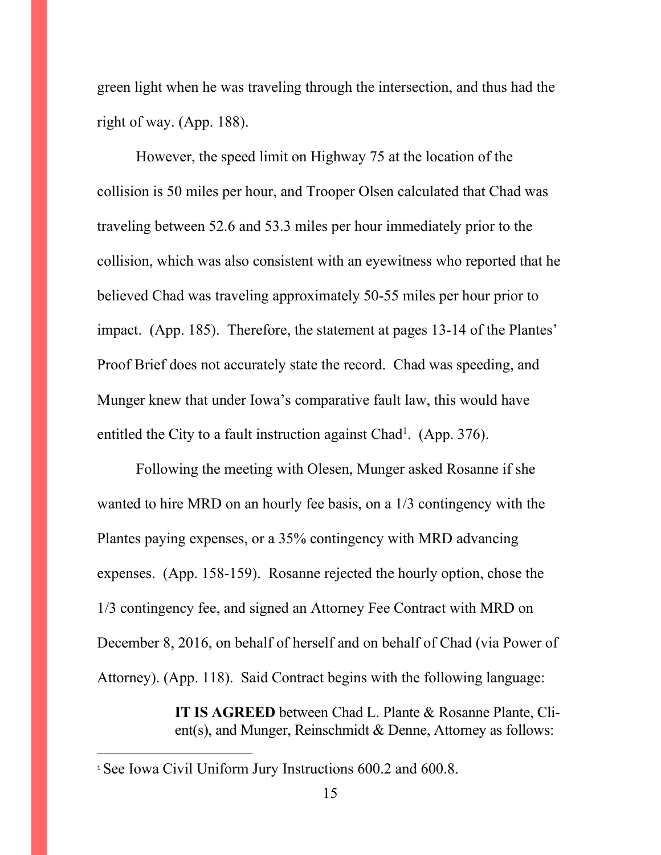green light when he was traveling through the intersection, and thus had the right of way. (App. 188).

However, the speed limit on Highway 75 at the location of the collision is 50 miles per hour, and Trooper Olsen calculated that Chad was traveling between 52.6 and 53.3 miles per hour immediately prior to the collision, which was also consistent with an eyewitness who reported that he believed Chad was traveling approximately 50-55 miles per hour prior to impact. (App. 185). Therefore, the statement at pages 13-14 of the Plantes' Proof Brief does not accurately state the record. Chad was speeding, and Munger knew that under Iowa's comparative fault law, this would have entitled the City to a fault instruction against Chad<sup>1</sup>. (App. 376).

Following the meeting with Olesen, Munger asked Rosanne if she wanted to hire MRD on an hourly fee basis, on a 1/3 contingency with the Plantes paying expenses, or a 35% contingency with MRD advancing expenses. (App. 158-159). Rosanne rejected the hourly option, chose the 1/3 contingency fee, and signed an Attorney Fee Contract with MRD on December 8, 2016, on behalf of herself and on behalf of Chad (via Power of Attorney). (App. 118). Said Contract begins with the following language:

> **IT IS AGREED** between Chad L. Plante & Rosanne Plante, Client(s), and Munger, Reinschmidt & Denne, Attorney as follows:

<sup>&</sup>lt;sup>1</sup> See Iowa Civil Uniform Jury Instructions 600.2 and 600.8.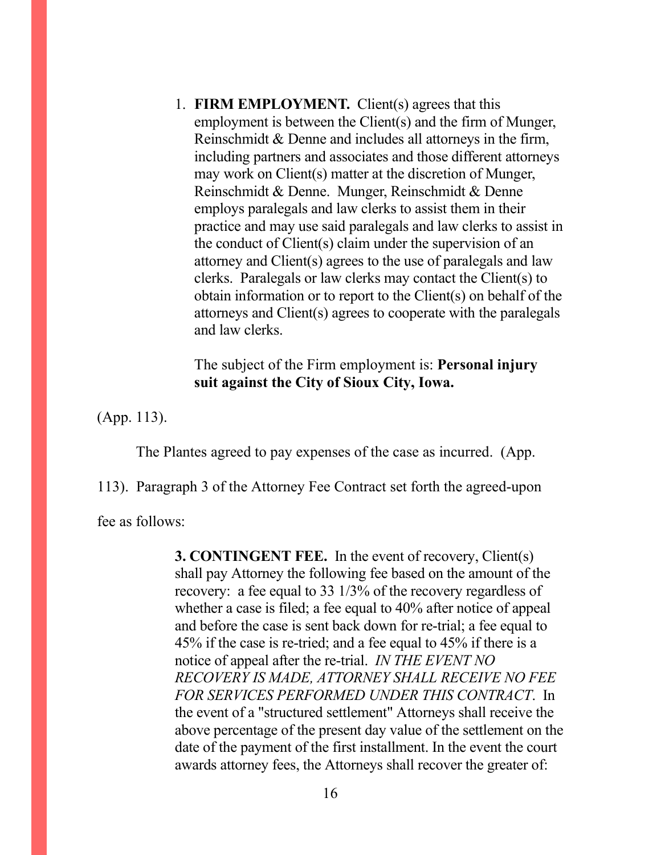1. **FIRM EMPLOYMENT.** Client(s) agrees that this employment is between the Client(s) and the firm of Munger, Reinschmidt & Denne and includes all attorneys in the firm, including partners and associates and those different attorneys may work on Client(s) matter at the discretion of Munger, Reinschmidt & Denne. Munger, Reinschmidt & Denne employs paralegals and law clerks to assist them in their practice and may use said paralegals and law clerks to assist in the conduct of Client(s) claim under the supervision of an attorney and Client(s) agrees to the use of paralegals and law clerks. Paralegals or law clerks may contact the Client(s) to obtain information or to report to the Client(s) on behalf of the attorneys and Client(s) agrees to cooperate with the paralegals and law clerks.

# The subject of the Firm employment is: **Personal injury suit against the City of Sioux City, Iowa.**

(App. 113).

The Plantes agreed to pay expenses of the case as incurred. (App.

113). Paragraph 3 of the Attorney Fee Contract set forth the agreed-upon

fee as follows:

**3. CONTINGENT FEE.** In the event of recovery, Client(s) shall pay Attorney the following fee based on the amount of the recovery: a fee equal to 33 1/3% of the recovery regardless of whether a case is filed; a fee equal to 40% after notice of appeal and before the case is sent back down for re-trial; a fee equal to 45% if the case is re-tried; and a fee equal to 45% if there is a notice of appeal after the re-trial. *IN THE EVENT NO RECOVERY IS MADE, ATTORNEY SHALL RECEIVE NO FEE FOR SERVICES PERFORMED UNDER THIS CONTRACT*. In the event of a "structured settlement" Attorneys shall receive the above percentage of the present day value of the settlement on the date of the payment of the first installment. In the event the court awards attorney fees, the Attorneys shall recover the greater of: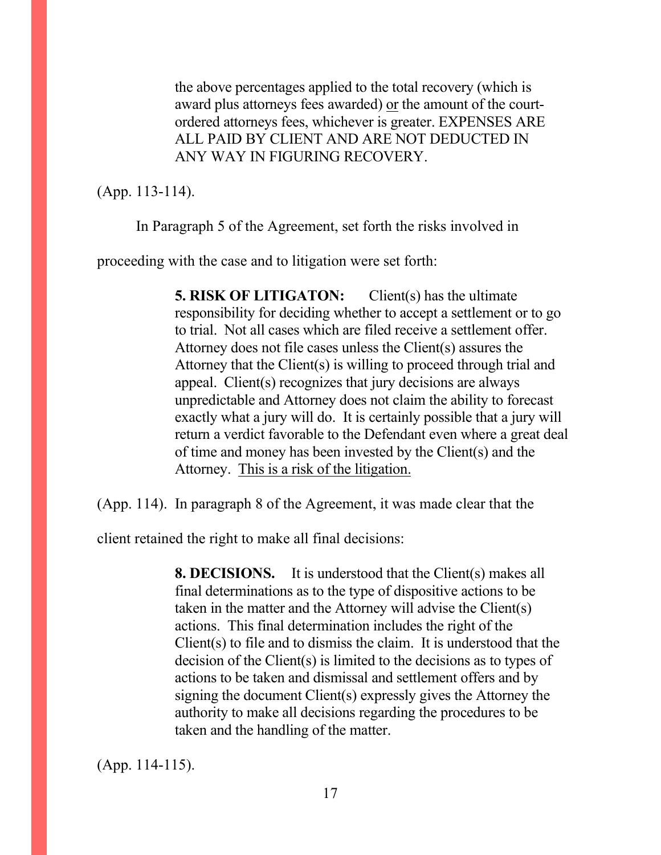the above percentages applied to the total recovery (which is award plus attorneys fees awarded) or the amount of the courtordered attorneys fees, whichever is greater. EXPENSES ARE ALL PAID BY CLIENT AND ARE NOT DEDUCTED IN ANY WAY IN FIGURING RECOVERY.

(App. 113-114).

In Paragraph 5 of the Agreement, set forth the risks involved in

proceeding with the case and to litigation were set forth:

**5. RISK OF LITIGATON:** Client(s) has the ultimate responsibility for deciding whether to accept a settlement or to go to trial. Not all cases which are filed receive a settlement offer. Attorney does not file cases unless the Client(s) assures the Attorney that the Client(s) is willing to proceed through trial and appeal. Client(s) recognizes that jury decisions are always unpredictable and Attorney does not claim the ability to forecast exactly what a jury will do. It is certainly possible that a jury will return a verdict favorable to the Defendant even where a great deal of time and money has been invested by the Client(s) and the Attorney. This is a risk of the litigation.

(App. 114). In paragraph 8 of the Agreement, it was made clear that the

client retained the right to make all final decisions:

**8. DECISIONS.** It is understood that the Client(s) makes all final determinations as to the type of dispositive actions to be taken in the matter and the Attorney will advise the Client(s) actions. This final determination includes the right of the Client(s) to file and to dismiss the claim. It is understood that the decision of the Client(s) is limited to the decisions as to types of actions to be taken and dismissal and settlement offers and by signing the document Client(s) expressly gives the Attorney the authority to make all decisions regarding the procedures to be taken and the handling of the matter.

(App. 114-115).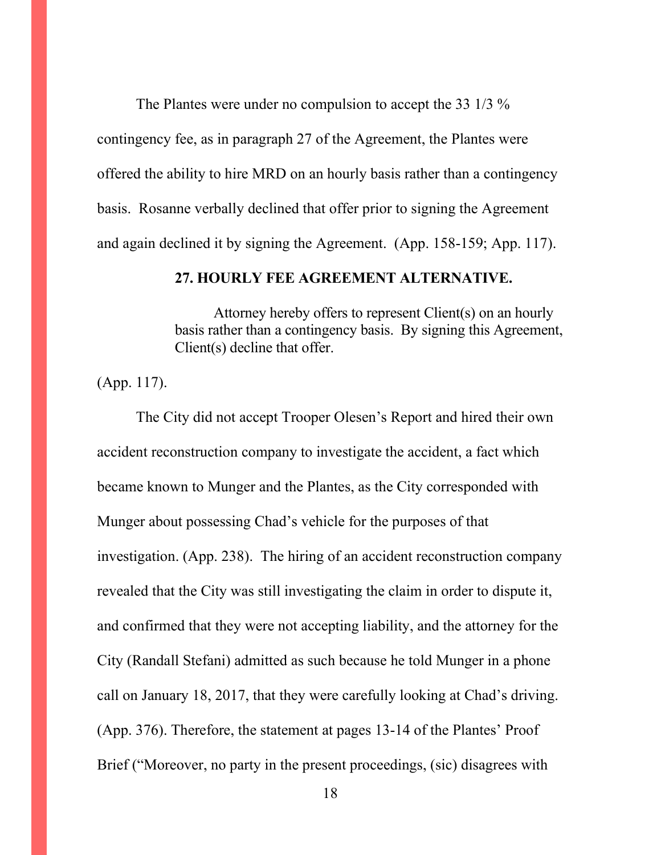The Plantes were under no compulsion to accept the 33 1/3 % contingency fee, as in paragraph 27 of the Agreement, the Plantes were offered the ability to hire MRD on an hourly basis rather than a contingency basis. Rosanne verbally declined that offer prior to signing the Agreement and again declined it by signing the Agreement. (App. 158-159; App. 117).

#### **27. HOURLY FEE AGREEMENT ALTERNATIVE.**

 Attorney hereby offers to represent Client(s) on an hourly basis rather than a contingency basis. By signing this Agreement, Client(s) decline that offer.

(App. 117).

The City did not accept Trooper Olesen's Report and hired their own accident reconstruction company to investigate the accident, a fact which became known to Munger and the Plantes, as the City corresponded with Munger about possessing Chad's vehicle for the purposes of that investigation. (App. 238). The hiring of an accident reconstruction company revealed that the City was still investigating the claim in order to dispute it, and confirmed that they were not accepting liability, and the attorney for the City (Randall Stefani) admitted as such because he told Munger in a phone call on January 18, 2017, that they were carefully looking at Chad's driving. (App. 376). Therefore, the statement at pages 13-14 of the Plantes' Proof Brief ("Moreover, no party in the present proceedings, (sic) disagrees with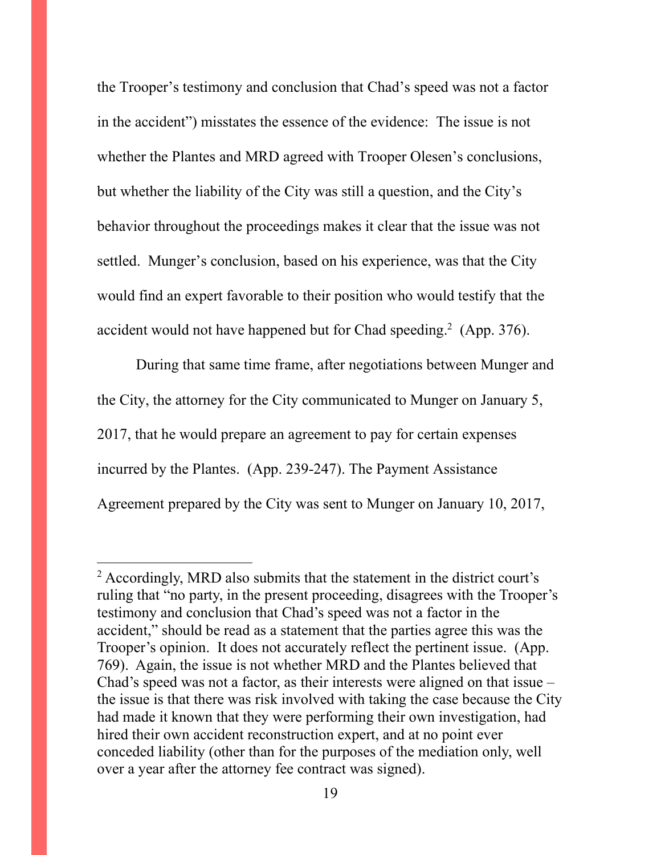the Trooper's testimony and conclusion that Chad's speed was not a factor in the accident") misstates the essence of the evidence: The issue is not whether the Plantes and MRD agreed with Trooper Olesen's conclusions, but whether the liability of the City was still a question, and the City's behavior throughout the proceedings makes it clear that the issue was not settled. Munger's conclusion, based on his experience, was that the City would find an expert favorable to their position who would testify that the accident would not have happened but for Chad speeding.<sup>2</sup> (App. 376).

During that same time frame, after negotiations between Munger and the City, the attorney for the City communicated to Munger on January 5, 2017, that he would prepare an agreement to pay for certain expenses incurred by the Plantes. (App. 239-247). The Payment Assistance Agreement prepared by the City was sent to Munger on January 10, 2017,

 $2$  Accordingly, MRD also submits that the statement in the district court's ruling that "no party, in the present proceeding, disagrees with the Trooper's testimony and conclusion that Chad's speed was not a factor in the accident," should be read as a statement that the parties agree this was the Trooper's opinion. It does not accurately reflect the pertinent issue. (App. 769). Again, the issue is not whether MRD and the Plantes believed that Chad's speed was not a factor, as their interests were aligned on that issue – the issue is that there was risk involved with taking the case because the City had made it known that they were performing their own investigation, had hired their own accident reconstruction expert, and at no point ever conceded liability (other than for the purposes of the mediation only, well over a year after the attorney fee contract was signed).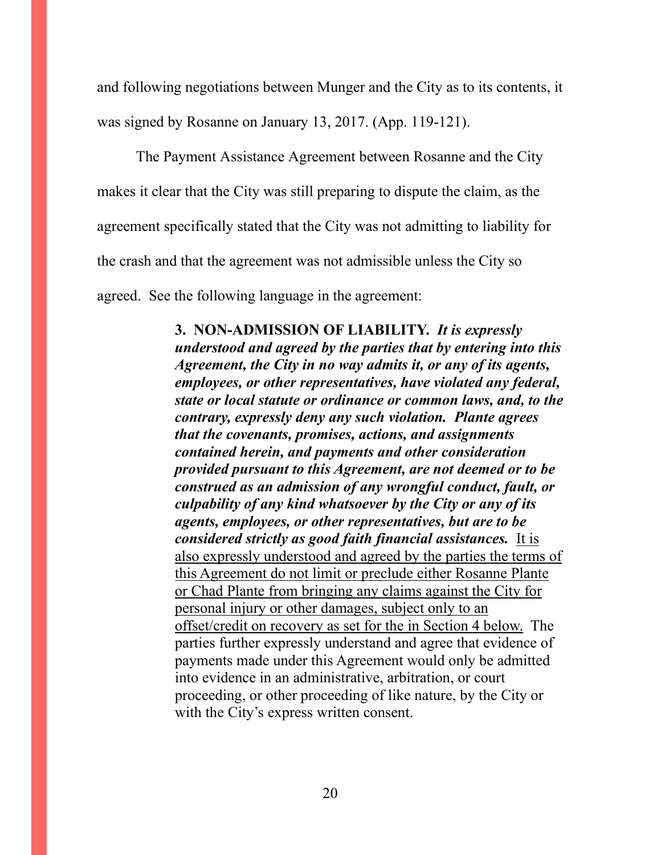and following negotiations between Munger and the City as to its contents, it was signed by Rosanne on January 13, 2017. (App. 119-121).

The Payment Assistance Agreement between Rosanne and the City makes it clear that the City was still preparing to dispute the claim, as the agreement specifically stated that the City was not admitting to liability for the crash and that the agreement was not admissible unless the City so agreed. See the following language in the agreement:

> **3. NON-ADMISSION OF LIABILITY.** *It is expressly understood and agreed by the parties that by entering into this Agreement, the City in no way admits it, or any of its agents, employees, or other representatives, have violated any federal, state or local statute or ordinance or common laws, and, to the contrary, expressly deny any such violation. Plante agrees that the covenants, promises, actions, and assignments contained herein, and payments and other consideration provided pursuant to this Agreement, are not deemed or to be construed as an admission of any wrongful conduct, fault, or culpability of any kind whatsoever by the City or any of its agents, employees, or other representatives, but are to be considered strictly as good faith financial assistances.* It is also expressly understood and agreed by the parties the terms of this Agreement do not limit or preclude either Rosanne Plante or Chad Plante from bringing any claims against the City for personal injury or other damages, subject only to an offset/credit on recovery as set for the in Section 4 below. The parties further expressly understand and agree that evidence of payments made under this Agreement would only be admitted into evidence in an administrative, arbitration, or court proceeding, or other proceeding of like nature, by the City or with the City's express written consent.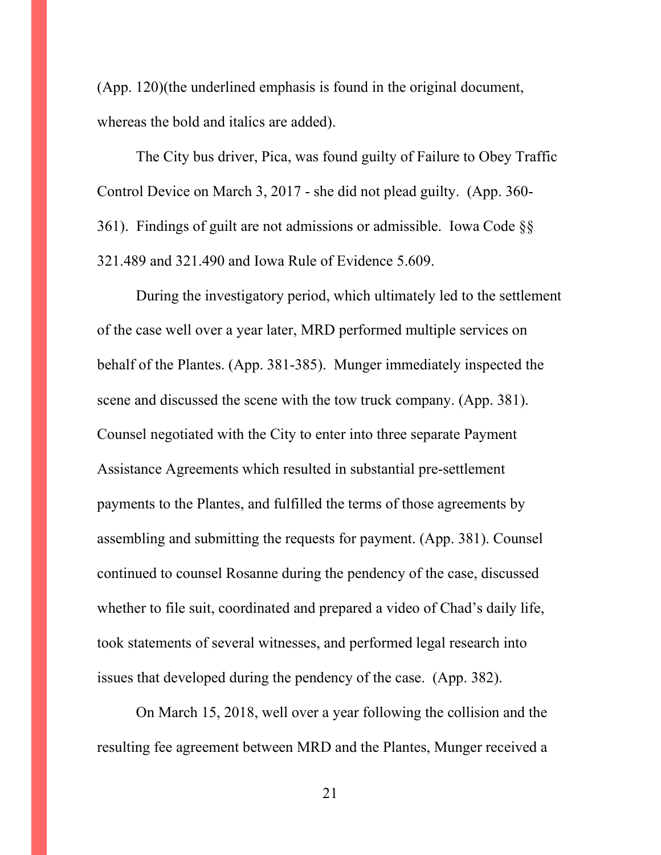(App. 120)(the underlined emphasis is found in the original document, whereas the bold and italics are added).

The City bus driver, Pica, was found guilty of Failure to Obey Traffic Control Device on March 3, 2017 - she did not plead guilty. (App. 360- 361). Findings of guilt are not admissions or admissible. Iowa Code §§ 321.489 and 321.490 and Iowa Rule of Evidence 5.609.

During the investigatory period, which ultimately led to the settlement of the case well over a year later, MRD performed multiple services on behalf of the Plantes. (App. 381-385). Munger immediately inspected the scene and discussed the scene with the tow truck company. (App. 381). Counsel negotiated with the City to enter into three separate Payment Assistance Agreements which resulted in substantial pre-settlement payments to the Plantes, and fulfilled the terms of those agreements by assembling and submitting the requests for payment. (App. 381). Counsel continued to counsel Rosanne during the pendency of the case, discussed whether to file suit, coordinated and prepared a video of Chad's daily life, took statements of several witnesses, and performed legal research into issues that developed during the pendency of the case. (App. 382).

On March 15, 2018, well over a year following the collision and the resulting fee agreement between MRD and the Plantes, Munger received a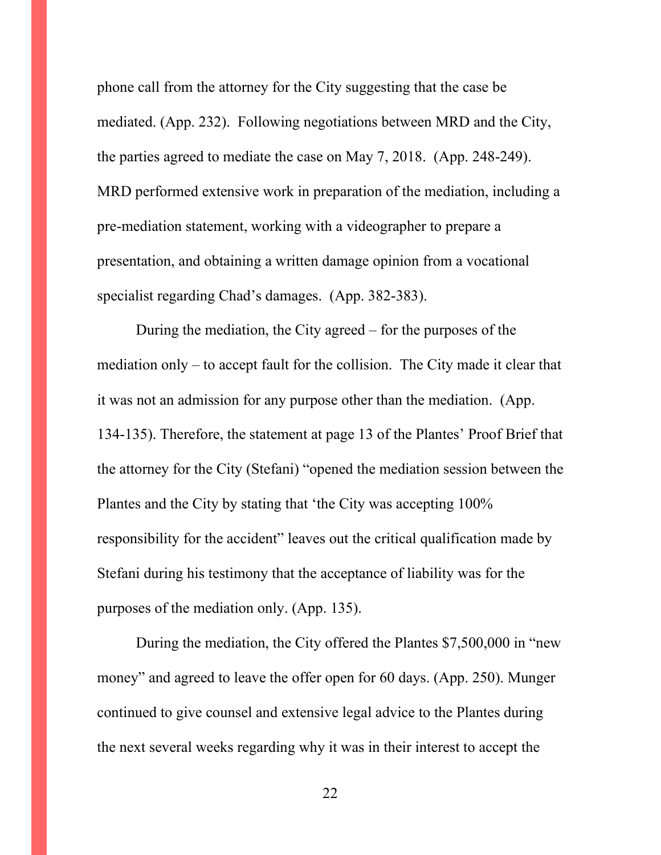phone call from the attorney for the City suggesting that the case be mediated. (App. 232). Following negotiations between MRD and the City, the parties agreed to mediate the case on May 7, 2018. (App. 248-249). MRD performed extensive work in preparation of the mediation, including a pre-mediation statement, working with a videographer to prepare a presentation, and obtaining a written damage opinion from a vocational specialist regarding Chad's damages. (App. 382-383).

During the mediation, the City agreed – for the purposes of the mediation only – to accept fault for the collision. The City made it clear that it was not an admission for any purpose other than the mediation. (App. 134-135). Therefore, the statement at page 13 of the Plantes' Proof Brief that the attorney for the City (Stefani) "opened the mediation session between the Plantes and the City by stating that 'the City was accepting 100% responsibility for the accident" leaves out the critical qualification made by Stefani during his testimony that the acceptance of liability was for the purposes of the mediation only. (App. 135).

During the mediation, the City offered the Plantes \$7,500,000 in "new money" and agreed to leave the offer open for 60 days. (App. 250). Munger continued to give counsel and extensive legal advice to the Plantes during the next several weeks regarding why it was in their interest to accept the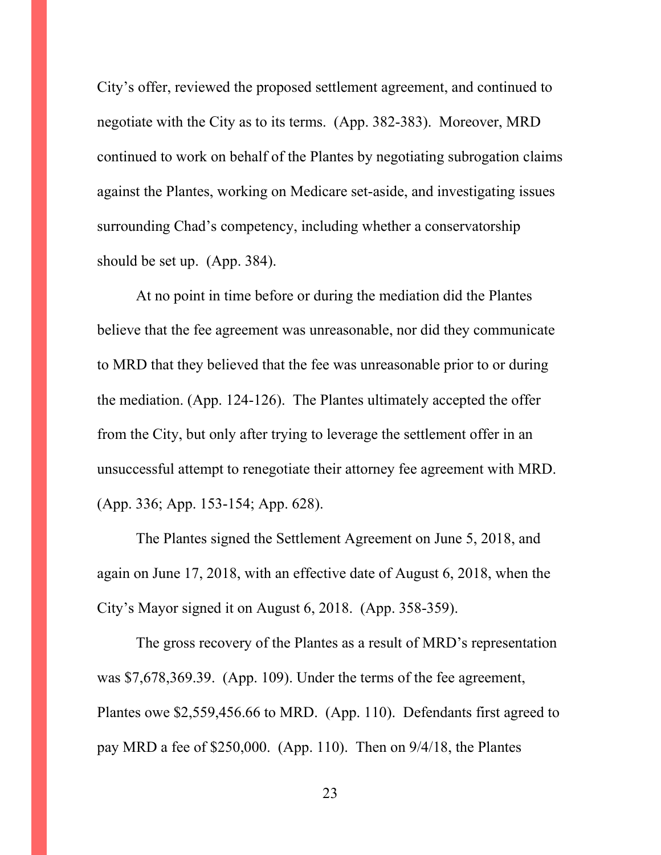City's offer, reviewed the proposed settlement agreement, and continued to negotiate with the City as to its terms. (App. 382-383). Moreover, MRD continued to work on behalf of the Plantes by negotiating subrogation claims against the Plantes, working on Medicare set-aside, and investigating issues surrounding Chad's competency, including whether a conservatorship should be set up. (App. 384).

At no point in time before or during the mediation did the Plantes believe that the fee agreement was unreasonable, nor did they communicate to MRD that they believed that the fee was unreasonable prior to or during the mediation. (App. 124-126). The Plantes ultimately accepted the offer from the City, but only after trying to leverage the settlement offer in an unsuccessful attempt to renegotiate their attorney fee agreement with MRD. (App. 336; App. 153-154; App. 628).

The Plantes signed the Settlement Agreement on June 5, 2018, and again on June 17, 2018, with an effective date of August 6, 2018, when the City's Mayor signed it on August 6, 2018. (App. 358-359).

The gross recovery of the Plantes as a result of MRD's representation was \$7,678,369.39. (App. 109). Under the terms of the fee agreement, Plantes owe \$2,559,456.66 to MRD. (App. 110). Defendants first agreed to pay MRD a fee of \$250,000. (App. 110). Then on 9/4/18, the Plantes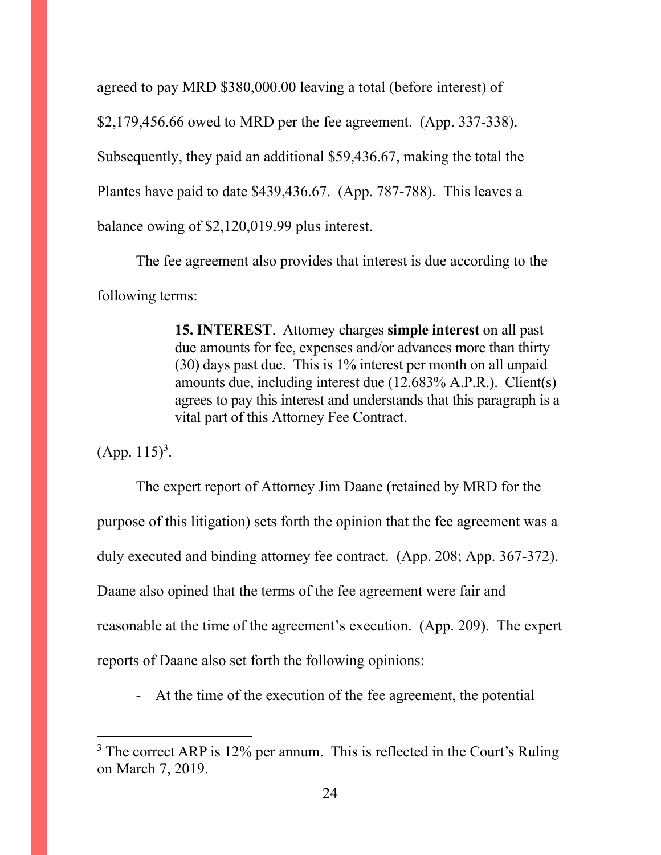agreed to pay MRD \$380,000.00 leaving a total (before interest) of

\$2,179,456.66 owed to MRD per the fee agreement. (App. 337-338).

Subsequently, they paid an additional \$59,436.67, making the total the

Plantes have paid to date \$439,436.67. (App. 787-788). This leaves a

balance owing of \$2,120,019.99 plus interest.

The fee agreement also provides that interest is due according to the following terms:

> **15. INTEREST**. Attorney charges **simple interest** on all past due amounts for fee, expenses and/or advances more than thirty (30) days past due. This is 1% interest per month on all unpaid amounts due, including interest due (12.683% A.P.R.). Client(s) agrees to pay this interest and understands that this paragraph is a vital part of this Attorney Fee Contract.

 $(App. 115)^3$ .

The expert report of Attorney Jim Daane (retained by MRD for the purpose of this litigation) sets forth the opinion that the fee agreement was a duly executed and binding attorney fee contract. (App. 208; App. 367-372). Daane also opined that the terms of the fee agreement were fair and reasonable at the time of the agreement's execution. (App. 209). The expert reports of Daane also set forth the following opinions:

- At the time of the execution of the fee agreement, the potential

<sup>&</sup>lt;sup>3</sup> The correct ARP is 12% per annum. This is reflected in the Court's Ruling on March 7, 2019.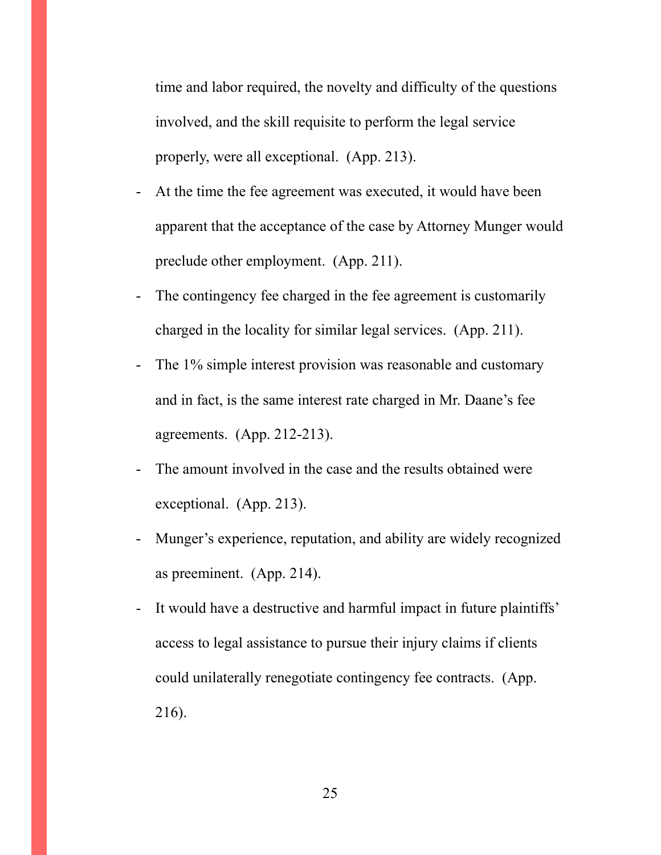time and labor required, the novelty and difficulty of the questions involved, and the skill requisite to perform the legal service properly, were all exceptional. (App. 213).

- At the time the fee agreement was executed, it would have been apparent that the acceptance of the case by Attorney Munger would preclude other employment. (App. 211).
- The contingency fee charged in the fee agreement is customarily charged in the locality for similar legal services. (App. 211).
- The 1% simple interest provision was reasonable and customary and in fact, is the same interest rate charged in Mr. Daane's fee agreements. (App. 212-213).
- The amount involved in the case and the results obtained were exceptional. (App. 213).
- Munger's experience, reputation, and ability are widely recognized as preeminent. (App. 214).
- It would have a destructive and harmful impact in future plaintiffs' access to legal assistance to pursue their injury claims if clients could unilaterally renegotiate contingency fee contracts. (App. 216).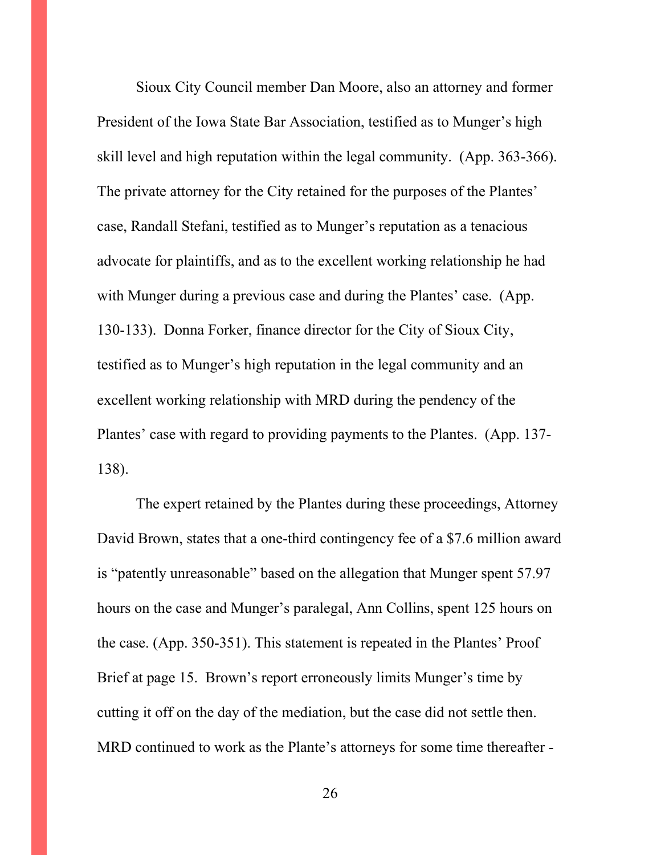Sioux City Council member Dan Moore, also an attorney and former President of the Iowa State Bar Association, testified as to Munger's high skill level and high reputation within the legal community. (App. 363-366). The private attorney for the City retained for the purposes of the Plantes' case, Randall Stefani, testified as to Munger's reputation as a tenacious advocate for plaintiffs, and as to the excellent working relationship he had with Munger during a previous case and during the Plantes' case. (App. 130-133). Donna Forker, finance director for the City of Sioux City, testified as to Munger's high reputation in the legal community and an excellent working relationship with MRD during the pendency of the Plantes' case with regard to providing payments to the Plantes. (App. 137- 138).

The expert retained by the Plantes during these proceedings, Attorney David Brown, states that a one-third contingency fee of a \$7.6 million award is "patently unreasonable" based on the allegation that Munger spent 57.97 hours on the case and Munger's paralegal, Ann Collins, spent 125 hours on the case. (App. 350-351). This statement is repeated in the Plantes' Proof Brief at page 15. Brown's report erroneously limits Munger's time by cutting it off on the day of the mediation, but the case did not settle then. MRD continued to work as the Plante's attorneys for some time thereafter -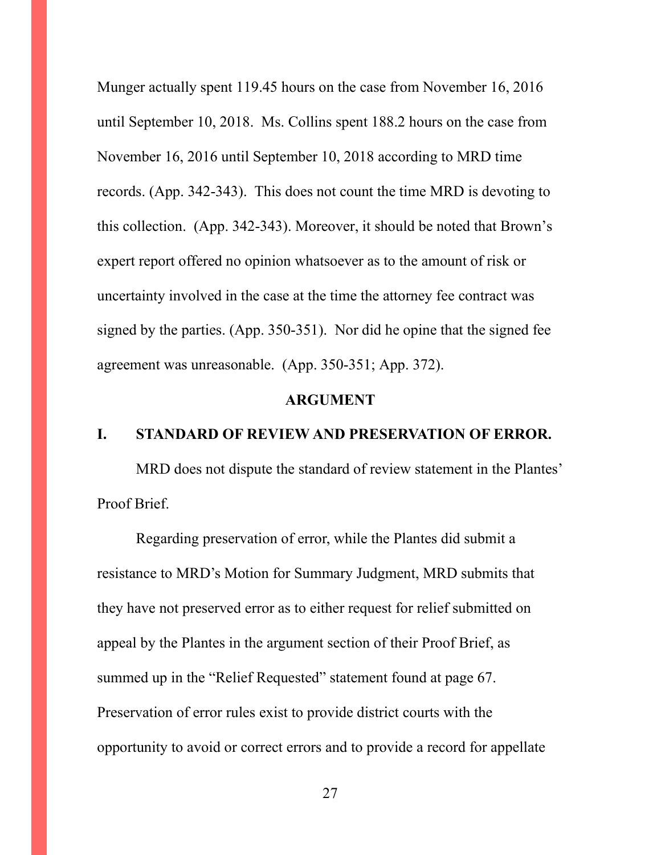Munger actually spent 119.45 hours on the case from November 16, 2016 until September 10, 2018. Ms. Collins spent 188.2 hours on the case from November 16, 2016 until September 10, 2018 according to MRD time records. (App. 342-343). This does not count the time MRD is devoting to this collection. (App. 342-343). Moreover, it should be noted that Brown's expert report offered no opinion whatsoever as to the amount of risk or uncertainty involved in the case at the time the attorney fee contract was signed by the parties. (App. 350-351). Nor did he opine that the signed fee agreement was unreasonable. (App. 350-351; App. 372).

### **ARGUMENT**

### **I. STANDARD OF REVIEW AND PRESERVATION OF ERROR.**

MRD does not dispute the standard of review statement in the Plantes' Proof Brief.

Regarding preservation of error, while the Plantes did submit a resistance to MRD's Motion for Summary Judgment, MRD submits that they have not preserved error as to either request for relief submitted on appeal by the Plantes in the argument section of their Proof Brief, as summed up in the "Relief Requested" statement found at page 67. Preservation of error rules exist to provide district courts with the opportunity to avoid or correct errors and to provide a record for appellate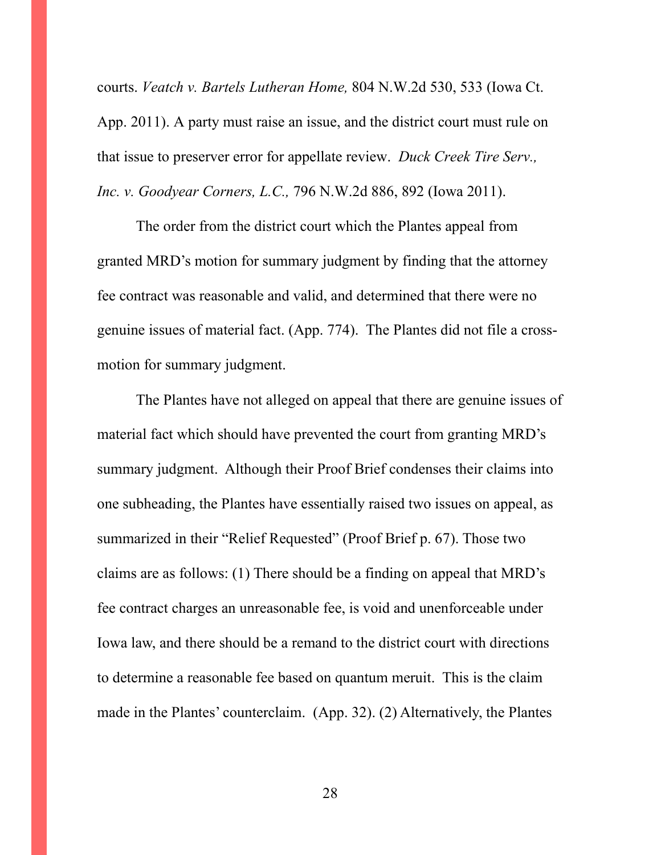courts. *Veatch v. Bartels Lutheran Home,* 804 N.W.2d 530, 533 (Iowa Ct. App. 2011). A party must raise an issue, and the district court must rule on that issue to preserver error for appellate review. *Duck Creek Tire Serv., Inc. v. Goodyear Corners, L.C.,* 796 N.W.2d 886, 892 (Iowa 2011).

The order from the district court which the Plantes appeal from granted MRD's motion for summary judgment by finding that the attorney fee contract was reasonable and valid, and determined that there were no genuine issues of material fact. (App. 774). The Plantes did not file a crossmotion for summary judgment.

The Plantes have not alleged on appeal that there are genuine issues of material fact which should have prevented the court from granting MRD's summary judgment. Although their Proof Brief condenses their claims into one subheading, the Plantes have essentially raised two issues on appeal, as summarized in their "Relief Requested" (Proof Brief p. 67). Those two claims are as follows: (1) There should be a finding on appeal that MRD's fee contract charges an unreasonable fee, is void and unenforceable under Iowa law, and there should be a remand to the district court with directions to determine a reasonable fee based on quantum meruit. This is the claim made in the Plantes' counterclaim. (App. 32). (2) Alternatively, the Plantes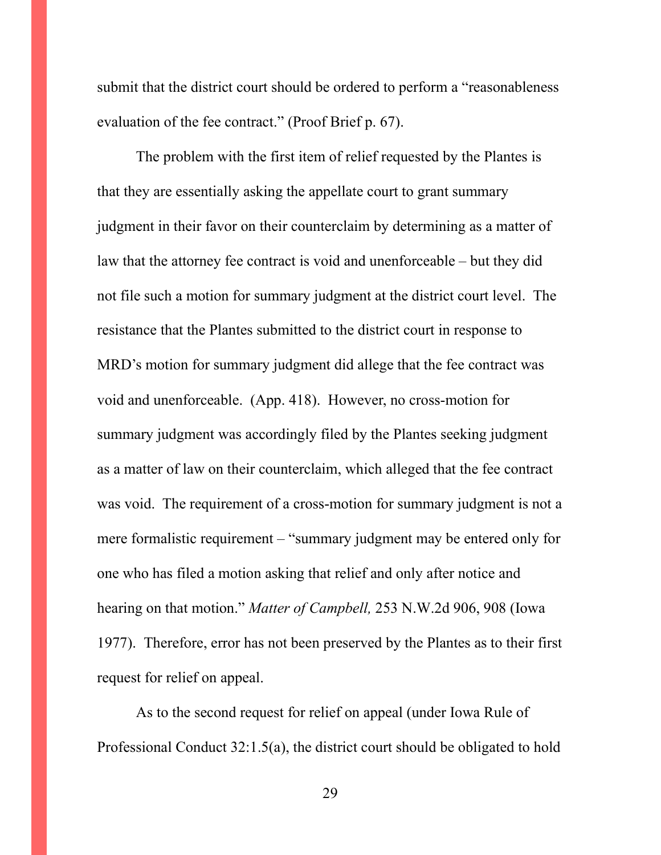submit that the district court should be ordered to perform a "reasonableness evaluation of the fee contract." (Proof Brief p. 67).

The problem with the first item of relief requested by the Plantes is that they are essentially asking the appellate court to grant summary judgment in their favor on their counterclaim by determining as a matter of law that the attorney fee contract is void and unenforceable – but they did not file such a motion for summary judgment at the district court level. The resistance that the Plantes submitted to the district court in response to MRD's motion for summary judgment did allege that the fee contract was void and unenforceable. (App. 418). However, no cross-motion for summary judgment was accordingly filed by the Plantes seeking judgment as a matter of law on their counterclaim, which alleged that the fee contract was void. The requirement of a cross-motion for summary judgment is not a mere formalistic requirement – "summary judgment may be entered only for one who has filed a motion asking that relief and only after notice and hearing on that motion." *Matter of Campbell,* 253 N.W.2d 906, 908 (Iowa 1977). Therefore, error has not been preserved by the Plantes as to their first request for relief on appeal.

As to the second request for relief on appeal (under Iowa Rule of Professional Conduct 32:1.5(a), the district court should be obligated to hold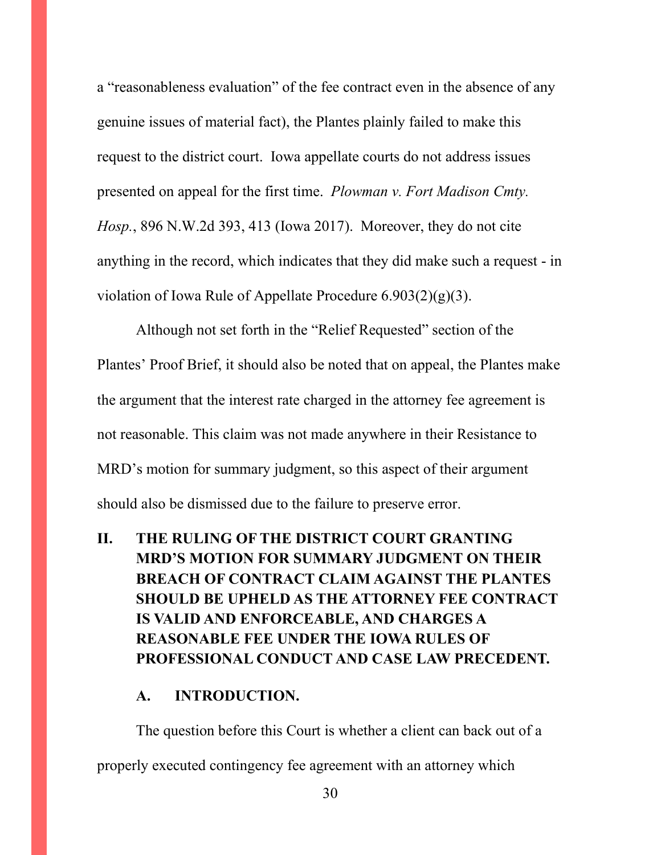a "reasonableness evaluation" of the fee contract even in the absence of any genuine issues of material fact), the Plantes plainly failed to make this request to the district court. Iowa appellate courts do not address issues presented on appeal for the first time. *Plowman v. Fort Madison Cmty. Hosp.*, 896 N.W.2d 393, 413 (Iowa 2017). Moreover, they do not cite anything in the record, which indicates that they did make such a request - in violation of Iowa Rule of Appellate Procedure 6.903(2)(g)(3).

Although not set forth in the "Relief Requested" section of the Plantes' Proof Brief, it should also be noted that on appeal, the Plantes make the argument that the interest rate charged in the attorney fee agreement is not reasonable. This claim was not made anywhere in their Resistance to MRD's motion for summary judgment, so this aspect of their argument should also be dismissed due to the failure to preserve error.

# **II. THE RULING OF THE DISTRICT COURT GRANTING MRD'S MOTION FOR SUMMARY JUDGMENT ON THEIR BREACH OF CONTRACT CLAIM AGAINST THE PLANTES SHOULD BE UPHELD AS THE ATTORNEY FEE CONTRACT IS VALID AND ENFORCEABLE, AND CHARGES A REASONABLE FEE UNDER THE IOWA RULES OF PROFESSIONAL CONDUCT AND CASE LAW PRECEDENT.**

### **A. INTRODUCTION.**

The question before this Court is whether a client can back out of a properly executed contingency fee agreement with an attorney which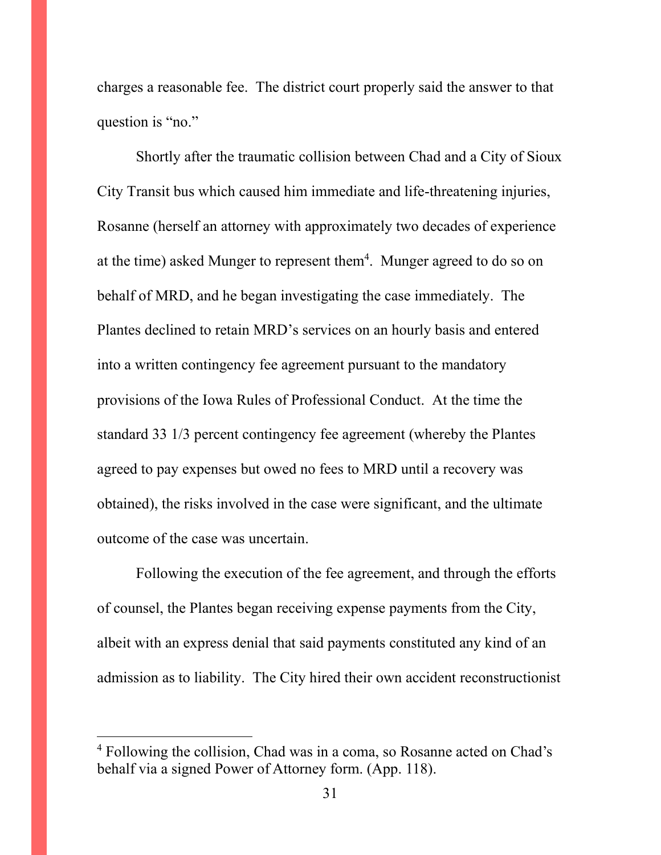charges a reasonable fee. The district court properly said the answer to that question is "no."

Shortly after the traumatic collision between Chad and a City of Sioux City Transit bus which caused him immediate and life-threatening injuries, Rosanne (herself an attorney with approximately two decades of experience at the time) asked Munger to represent them<sup>4</sup>. Munger agreed to do so on behalf of MRD, and he began investigating the case immediately. The Plantes declined to retain MRD's services on an hourly basis and entered into a written contingency fee agreement pursuant to the mandatory provisions of the Iowa Rules of Professional Conduct. At the time the standard 33 1/3 percent contingency fee agreement (whereby the Plantes agreed to pay expenses but owed no fees to MRD until a recovery was obtained), the risks involved in the case were significant, and the ultimate outcome of the case was uncertain.

Following the execution of the fee agreement, and through the efforts of counsel, the Plantes began receiving expense payments from the City, albeit with an express denial that said payments constituted any kind of an admission as to liability. The City hired their own accident reconstructionist

<sup>4</sup> Following the collision, Chad was in a coma, so Rosanne acted on Chad's behalf via a signed Power of Attorney form. (App. 118).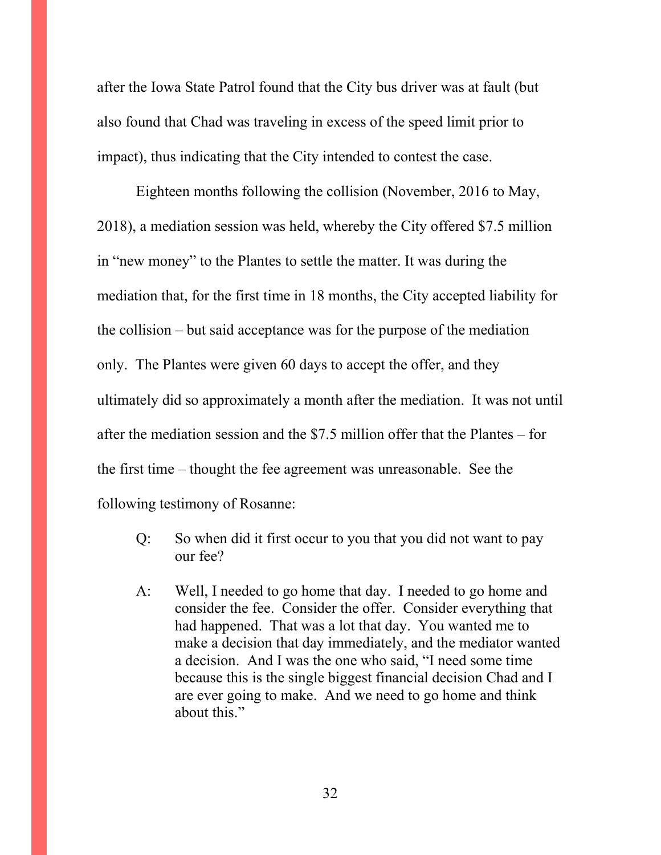after the Iowa State Patrol found that the City bus driver was at fault (but also found that Chad was traveling in excess of the speed limit prior to impact), thus indicating that the City intended to contest the case.

Eighteen months following the collision (November, 2016 to May, 2018), a mediation session was held, whereby the City offered \$7.5 million in "new money" to the Plantes to settle the matter. It was during the mediation that, for the first time in 18 months, the City accepted liability for the collision – but said acceptance was for the purpose of the mediation only. The Plantes were given 60 days to accept the offer, and they ultimately did so approximately a month after the mediation. It was not until after the mediation session and the \$7.5 million offer that the Plantes – for the first time – thought the fee agreement was unreasonable. See the following testimony of Rosanne:

- Q: So when did it first occur to you that you did not want to pay our fee?
- A: Well, I needed to go home that day. I needed to go home and consider the fee. Consider the offer. Consider everything that had happened. That was a lot that day. You wanted me to make a decision that day immediately, and the mediator wanted a decision. And I was the one who said, "I need some time because this is the single biggest financial decision Chad and I are ever going to make. And we need to go home and think about this."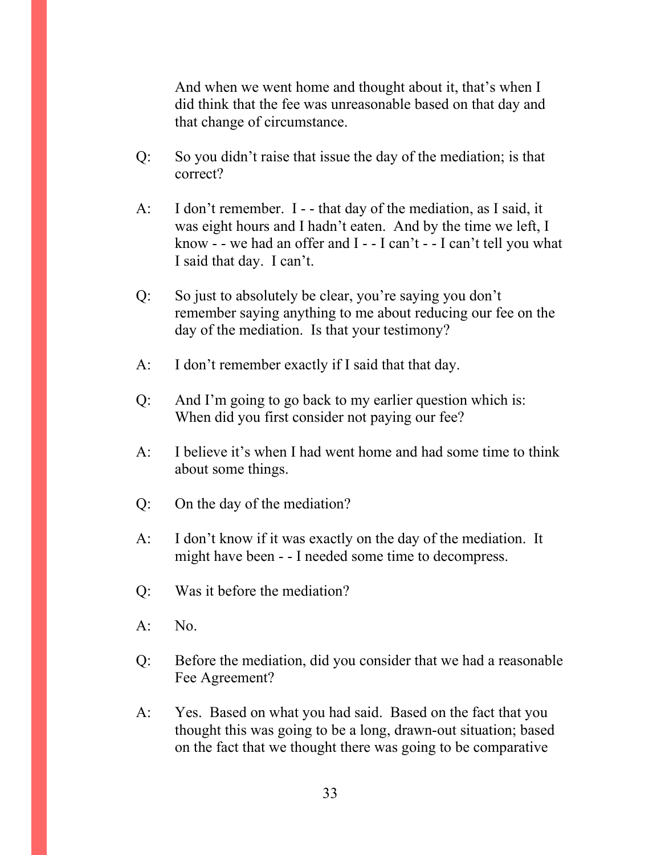And when we went home and thought about it, that's when I did think that the fee was unreasonable based on that day and that change of circumstance.

- Q: So you didn't raise that issue the day of the mediation; is that correct?
- A: I don't remember. I - that day of the mediation, as I said, it was eight hours and I hadn't eaten. And by the time we left, I know - - we had an offer and  $I - -I$  can't - - I can't tell you what I said that day. I can't.
- Q: So just to absolutely be clear, you're saying you don't remember saying anything to me about reducing our fee on the day of the mediation. Is that your testimony?
- A: I don't remember exactly if I said that that day.
- Q: And I'm going to go back to my earlier question which is: When did you first consider not paying our fee?
- A: I believe it's when I had went home and had some time to think about some things.
- Q: On the day of the mediation?
- A: I don't know if it was exactly on the day of the mediation. It might have been - - I needed some time to decompress.
- Q: Was it before the mediation?
- A: No.
- Q: Before the mediation, did you consider that we had a reasonable Fee Agreement?
- A: Yes. Based on what you had said. Based on the fact that you thought this was going to be a long, drawn-out situation; based on the fact that we thought there was going to be comparative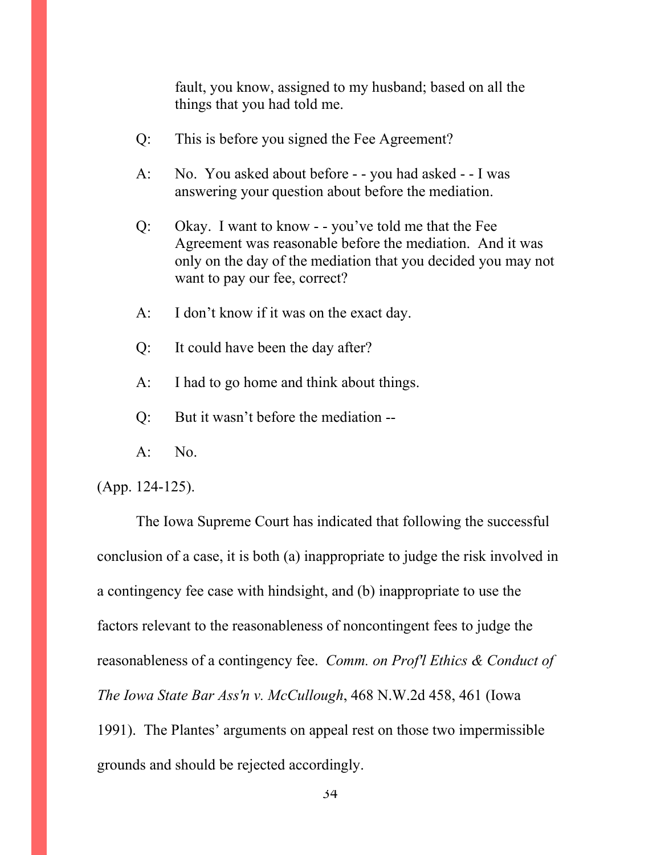fault, you know, assigned to my husband; based on all the things that you had told me.

- Q: This is before you signed the Fee Agreement?
- A: No. You asked about before - you had asked - I was answering your question about before the mediation.
- Q: Okay. I want to know - you've told me that the Fee Agreement was reasonable before the mediation. And it was only on the day of the mediation that you decided you may not want to pay our fee, correct?
- A: I don't know if it was on the exact day.
- Q: It could have been the day after?
- A: I had to go home and think about things.
- Q: But it wasn't before the mediation --
- $A:$  No.

(App. 124-125).

The Iowa Supreme Court has indicated that following the successful conclusion of a case, it is both (a) inappropriate to judge the risk involved in a contingency fee case with hindsight, and (b) inappropriate to use the factors relevant to the reasonableness of noncontingent fees to judge the reasonableness of a contingency fee. *Comm. on Prof'l Ethics & Conduct of The Iowa State Bar Ass'n v. McCullough*, 468 N.W.2d 458, 461 (Iowa 1991). The Plantes' arguments on appeal rest on those two impermissible grounds and should be rejected accordingly.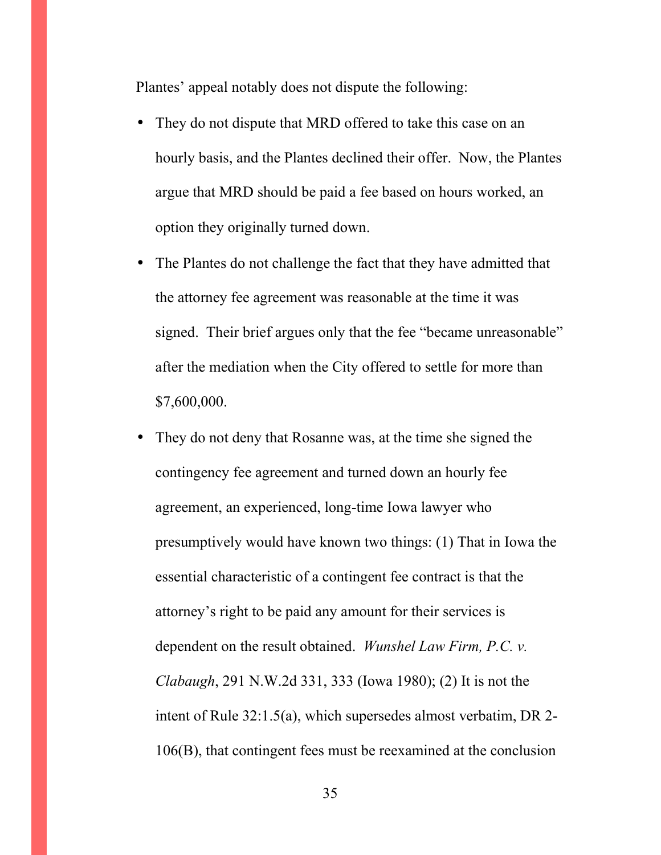Plantes' appeal notably does not dispute the following:

- They do not dispute that MRD offered to take this case on an hourly basis, and the Plantes declined their offer. Now, the Plantes argue that MRD should be paid a fee based on hours worked, an option they originally turned down.
- The Plantes do not challenge the fact that they have admitted that the attorney fee agreement was reasonable at the time it was signed. Their brief argues only that the fee "became unreasonable" after the mediation when the City offered to settle for more than \$7,600,000.
- They do not deny that Rosanne was, at the time she signed the contingency fee agreement and turned down an hourly fee agreement, an experienced, long-time Iowa lawyer who presumptively would have known two things: (1) That in Iowa the essential characteristic of a contingent fee contract is that the attorney's right to be paid any amount for their services is dependent on the result obtained. *Wunshel Law Firm, P.C. v. Clabaugh*, 291 N.W.2d 331, 333 (Iowa 1980); (2) It is not the intent of Rule 32:1.5(a), which supersedes almost verbatim, DR 2- 106(B), that contingent fees must be reexamined at the conclusion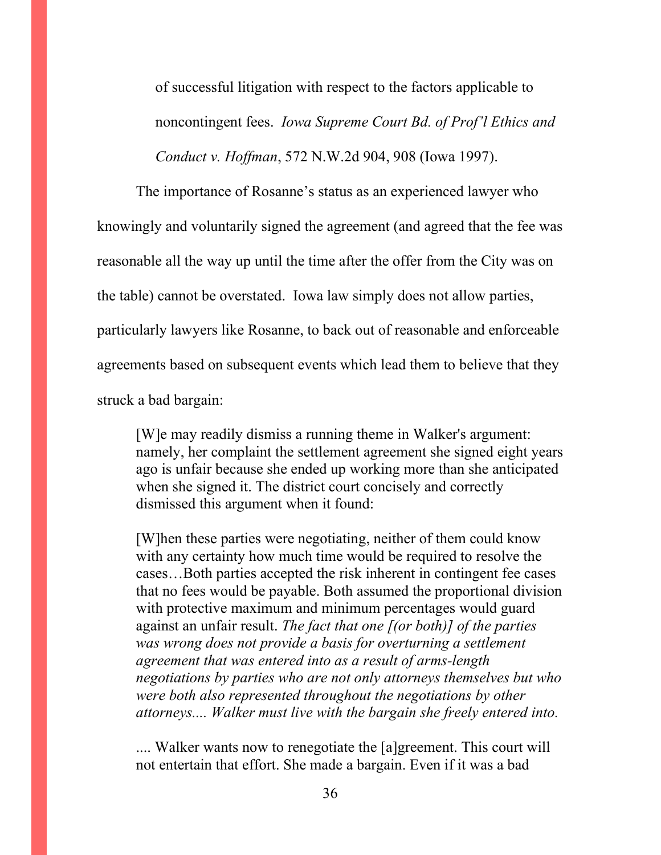of successful litigation with respect to the factors applicable to noncontingent fees. *Iowa Supreme Court Bd. of Prof'l Ethics and Conduct v. Hoffman*, 572 N.W.2d 904, 908 (Iowa 1997).

The importance of Rosanne's status as an experienced lawyer who knowingly and voluntarily signed the agreement (and agreed that the fee was reasonable all the way up until the time after the offer from the City was on the table) cannot be overstated. Iowa law simply does not allow parties, particularly lawyers like Rosanne, to back out of reasonable and enforceable agreements based on subsequent events which lead them to believe that they struck a bad bargain:

[W]e may readily dismiss a running theme in Walker's argument: namely, her complaint the settlement agreement she signed eight years ago is unfair because she ended up working more than she anticipated when she signed it. The district court concisely and correctly dismissed this argument when it found:

[W]hen these parties were negotiating, neither of them could know with any certainty how much time would be required to resolve the cases…Both parties accepted the risk inherent in contingent fee cases that no fees would be payable. Both assumed the proportional division with protective maximum and minimum percentages would guard against an unfair result. *The fact that one [(or both)] of the parties was wrong does not provide a basis for overturning a settlement agreement that was entered into as a result of arms-length negotiations by parties who are not only attorneys themselves but who were both also represented throughout the negotiations by other attorneys.... Walker must live with the bargain she freely entered into.* 

.... Walker wants now to renegotiate the [a]greement. This court will not entertain that effort. She made a bargain. Even if it was a bad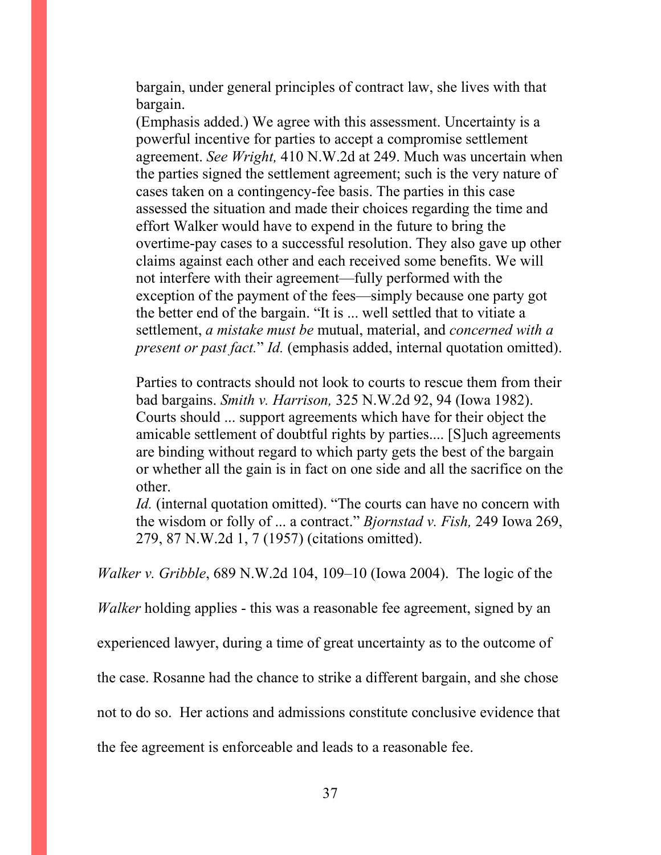bargain, under general principles of contract law, she lives with that bargain.

(Emphasis added.) We agree with this assessment. Uncertainty is a powerful incentive for parties to accept a compromise settlement agreement. *See Wright,* 410 N.W.2d at 249. Much was uncertain when the parties signed the settlement agreement; such is the very nature of cases taken on a contingency-fee basis. The parties in this case assessed the situation and made their choices regarding the time and effort Walker would have to expend in the future to bring the overtime-pay cases to a successful resolution. They also gave up other claims against each other and each received some benefits. We will not interfere with their agreement—fully performed with the exception of the payment of the fees—simply because one party got the better end of the bargain. "It is ... well settled that to vitiate a settlement, *a mistake must be* mutual, material, and *concerned with a present or past fact.*" *Id.* (emphasis added, internal quotation omitted).

Parties to contracts should not look to courts to rescue them from their bad bargains. *Smith v. Harrison,* 325 N.W.2d 92, 94 (Iowa 1982). Courts should ... support agreements which have for their object the amicable settlement of doubtful rights by parties.... [S]uch agreements are binding without regard to which party gets the best of the bargain or whether all the gain is in fact on one side and all the sacrifice on the other.

*Id.* (internal quotation omitted). "The courts can have no concern with the wisdom or folly of ... a contract." *Bjornstad v. Fish,* 249 Iowa 269, 279, 87 N.W.2d 1, 7 (1957) (citations omitted).

*Walker v. Gribble*, 689 N.W.2d 104, 109–10 (Iowa 2004). The logic of the

*Walker* holding applies - this was a reasonable fee agreement, signed by an

experienced lawyer, during a time of great uncertainty as to the outcome of

the case. Rosanne had the chance to strike a different bargain, and she chose

not to do so. Her actions and admissions constitute conclusive evidence that

the fee agreement is enforceable and leads to a reasonable fee.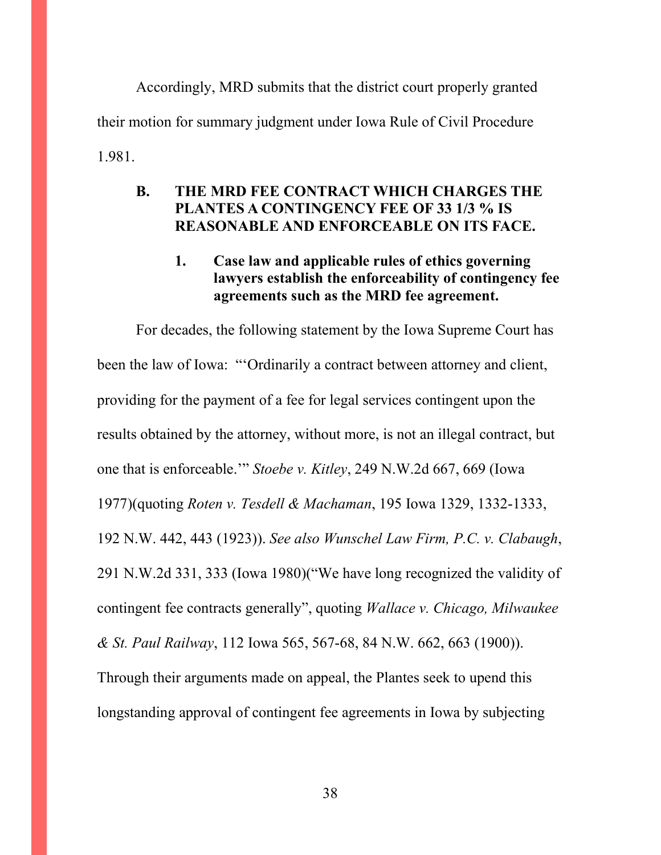Accordingly, MRD submits that the district court properly granted their motion for summary judgment under Iowa Rule of Civil Procedure 1.981.

## **B. THE MRD FEE CONTRACT WHICH CHARGES THE PLANTES A CONTINGENCY FEE OF 33 1/3 % IS REASONABLE AND ENFORCEABLE ON ITS FACE.**

# **1. Case law and applicable rules of ethics governing lawyers establish the enforceability of contingency fee agreements such as the MRD fee agreement.**

For decades, the following statement by the Iowa Supreme Court has been the law of Iowa: "'Ordinarily a contract between attorney and client, providing for the payment of a fee for legal services contingent upon the results obtained by the attorney, without more, is not an illegal contract, but one that is enforceable.'" *Stoebe v. Kitley*, 249 N.W.2d 667, 669 (Iowa 1977)(quoting *Roten v. Tesdell & Machaman*, 195 Iowa 1329, 1332-1333, 192 N.W. 442, 443 (1923)). *See also Wunschel Law Firm, P.C. v. Clabaugh*, 291 N.W.2d 331, 333 (Iowa 1980)("We have long recognized the validity of contingent fee contracts generally", quoting *Wallace v. Chicago, Milwaukee & St. Paul Railway*, 112 Iowa 565, 567-68, 84 N.W. 662, 663 (1900)). Through their arguments made on appeal, the Plantes seek to upend this longstanding approval of contingent fee agreements in Iowa by subjecting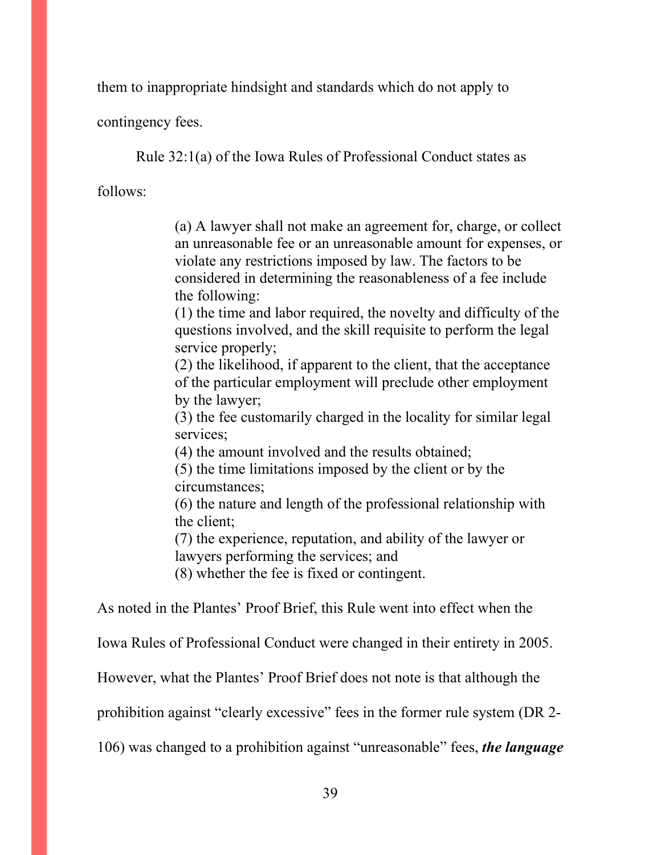them to inappropriate hindsight and standards which do not apply to

contingency fees.

Rule 32:1(a) of the Iowa Rules of Professional Conduct states as

follows:

(a) A lawyer shall not make an agreement for, charge, or collect an unreasonable fee or an unreasonable amount for expenses, or violate any restrictions imposed by law. The factors to be considered in determining the reasonableness of a fee include the following:

(1) the time and labor required, the novelty and difficulty of the questions involved, and the skill requisite to perform the legal service properly;

(2) the likelihood, if apparent to the client, that the acceptance of the particular employment will preclude other employment by the lawyer;

(3) the fee customarily charged in the locality for similar legal services;

(4) the amount involved and the results obtained;

(5) the time limitations imposed by the client or by the circumstances;

(6) the nature and length of the professional relationship with the client;

(7) the experience, reputation, and ability of the lawyer or lawyers performing the services; and

(8) whether the fee is fixed or contingent.

As noted in the Plantes' Proof Brief, this Rule went into effect when the

Iowa Rules of Professional Conduct were changed in their entirety in 2005.

However, what the Plantes' Proof Brief does not note is that although the

prohibition against "clearly excessive" fees in the former rule system (DR 2-

106) was changed to a prohibition against "unreasonable" fees, *the language*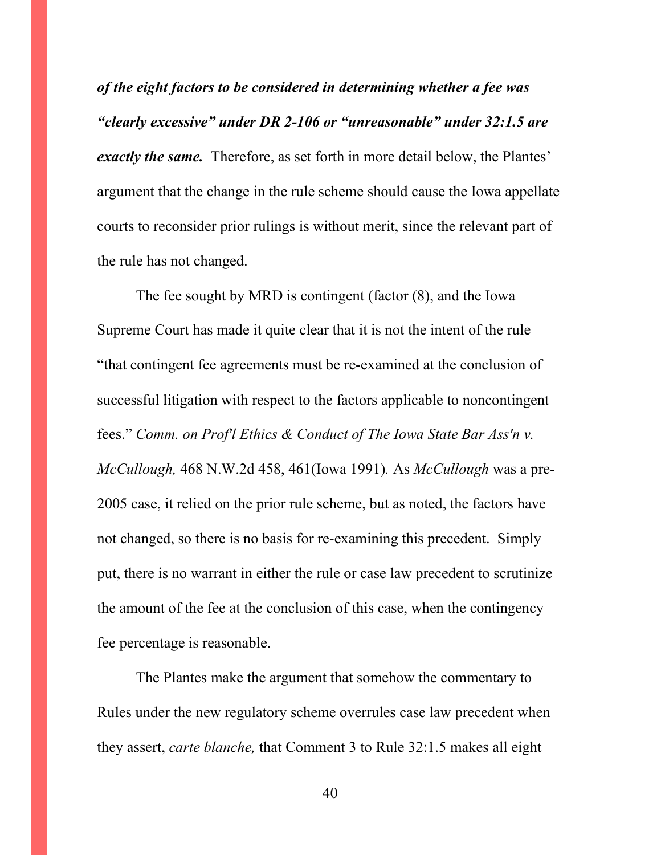*of the eight factors to be considered in determining whether a fee was "clearly excessive" under DR 2-106 or "unreasonable" under 32:1.5 are exactly the same.* Therefore, as set forth in more detail below, the Plantes' argument that the change in the rule scheme should cause the Iowa appellate courts to reconsider prior rulings is without merit, since the relevant part of the rule has not changed.

 The fee sought by MRD is contingent (factor (8), and the Iowa Supreme Court has made it quite clear that it is not the intent of the rule "that contingent fee agreements must be re-examined at the conclusion of successful litigation with respect to the factors applicable to noncontingent fees." *Comm. on Prof'l Ethics & Conduct of The Iowa State Bar Ass'n v. McCullough,* 468 N.W.2d 458, 461(Iowa 1991)*.* As *McCullough* was a pre-2005 case, it relied on the prior rule scheme, but as noted, the factors have not changed, so there is no basis for re-examining this precedent. Simply put, there is no warrant in either the rule or case law precedent to scrutinize the amount of the fee at the conclusion of this case, when the contingency fee percentage is reasonable.

 The Plantes make the argument that somehow the commentary to Rules under the new regulatory scheme overrules case law precedent when they assert, *carte blanche,* that Comment 3 to Rule 32:1.5 makes all eight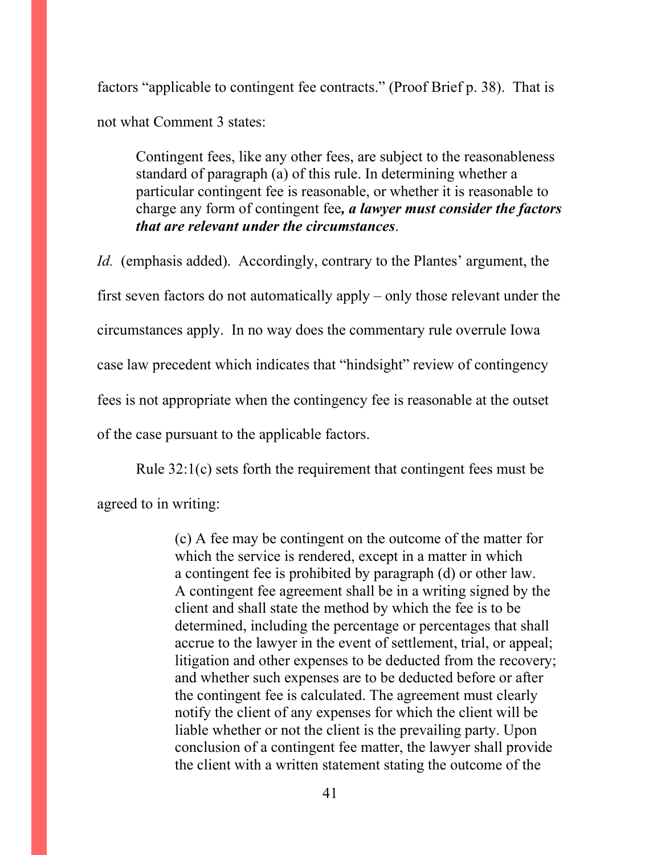factors "applicable to contingent fee contracts." (Proof Brief p. 38). That is not what Comment 3 states:

Contingent fees, like any other fees, are subject to the reasonableness standard of paragraph (a) of this rule. In determining whether a particular contingent fee is reasonable, or whether it is reasonable to charge any form of contingent fee*, a lawyer must consider the factors that are relevant under the circumstances*.

*Id.* (emphasis added). Accordingly, contrary to the Plantes' argument, the first seven factors do not automatically apply – only those relevant under the circumstances apply. In no way does the commentary rule overrule Iowa case law precedent which indicates that "hindsight" review of contingency fees is not appropriate when the contingency fee is reasonable at the outset of the case pursuant to the applicable factors.

Rule 32:1(c) sets forth the requirement that contingent fees must be agreed to in writing:

> (c) A fee may be contingent on the outcome of the matter for which the service is rendered, except in a matter in which a contingent fee is prohibited by paragraph (d) or other law. A contingent fee agreement shall be in a writing signed by the client and shall state the method by which the fee is to be determined, including the percentage or percentages that shall accrue to the lawyer in the event of settlement, trial, or appeal; litigation and other expenses to be deducted from the recovery; and whether such expenses are to be deducted before or after the contingent fee is calculated. The agreement must clearly notify the client of any expenses for which the client will be liable whether or not the client is the prevailing party. Upon conclusion of a contingent fee matter, the lawyer shall provide the client with a written statement stating the outcome of the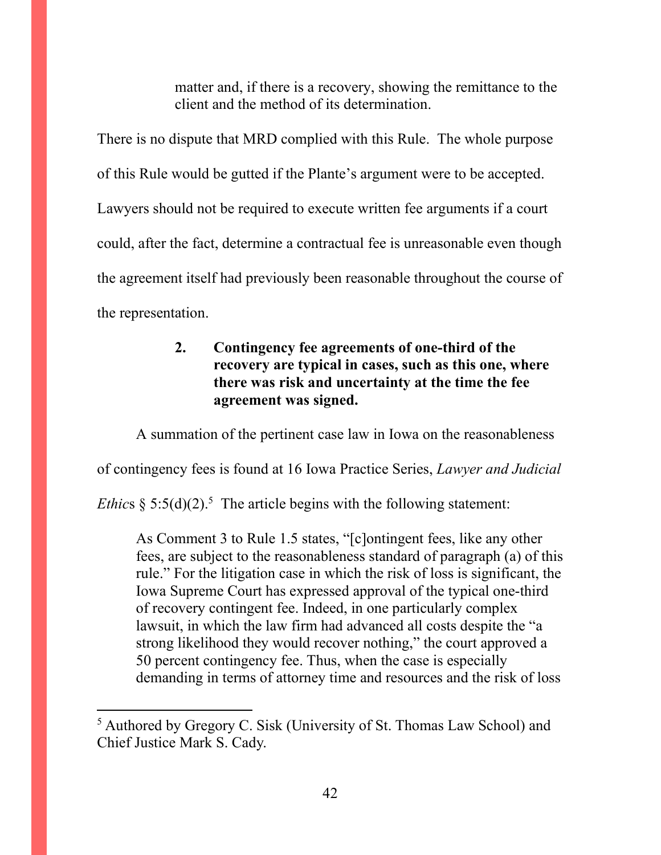matter and, if there is a recovery, showing the remittance to the client and the method of its determination.

There is no dispute that MRD complied with this Rule. The whole purpose of this Rule would be gutted if the Plante's argument were to be accepted. Lawyers should not be required to execute written fee arguments if a court could, after the fact, determine a contractual fee is unreasonable even though the agreement itself had previously been reasonable throughout the course of the representation.

# **2. Contingency fee agreements of one-third of the recovery are typical in cases, such as this one, where there was risk and uncertainty at the time the fee agreement was signed.**

A summation of the pertinent case law in Iowa on the reasonableness of contingency fees is found at 16 Iowa Practice Series, *Lawyer and Judicial Ethics*  $\S 5:5(d)(2)$ .<sup>5</sup> The article begins with the following statement:

As Comment 3 to Rule 1.5 states, "[c]ontingent fees, like any other fees, are subject to the reasonableness standard of paragraph (a) of this rule." For the litigation case in which the risk of loss is significant, the Iowa Supreme Court has expressed approval of the typical one-third of recovery contingent fee. Indeed, in one particularly complex lawsuit, in which the law firm had advanced all costs despite the "a strong likelihood they would recover nothing," the court approved a 50 percent contingency fee. Thus, when the case is especially demanding in terms of attorney time and resources and the risk of loss

<sup>&</sup>lt;sup>5</sup> Authored by Gregory C. Sisk (University of St. Thomas Law School) and Chief Justice Mark S. Cady.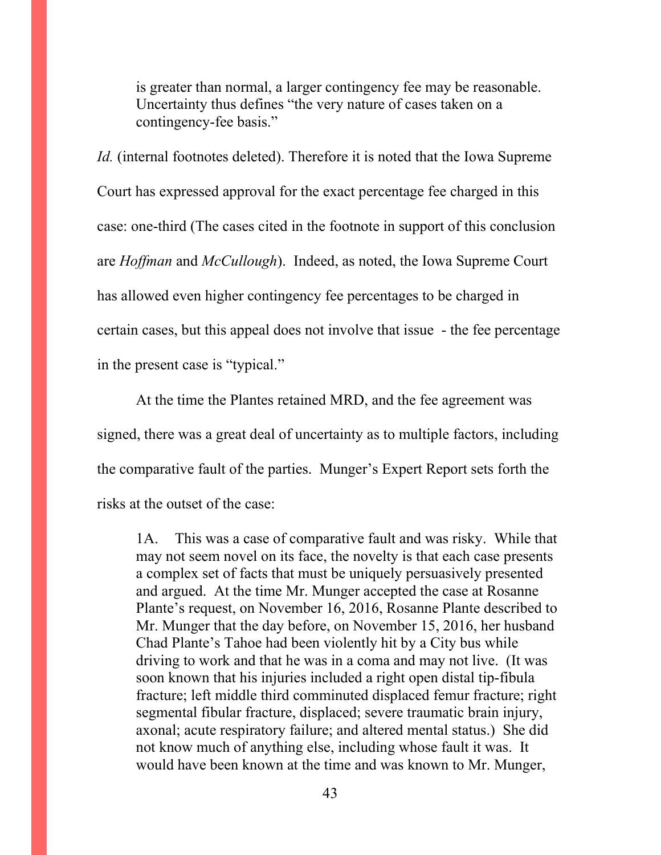is greater than normal, a larger contingency fee may be reasonable. Uncertainty thus defines "the very nature of cases taken on a contingency-fee basis."

*Id.* (internal footnotes deleted). Therefore it is noted that the Iowa Supreme Court has expressed approval for the exact percentage fee charged in this case: one-third (The cases cited in the footnote in support of this conclusion are *Hoffman* and *McCullough*). Indeed, as noted, the Iowa Supreme Court has allowed even higher contingency fee percentages to be charged in certain cases, but this appeal does not involve that issue - the fee percentage in the present case is "typical."

At the time the Plantes retained MRD, and the fee agreement was signed, there was a great deal of uncertainty as to multiple factors, including the comparative fault of the parties. Munger's Expert Report sets forth the risks at the outset of the case:

1A. This was a case of comparative fault and was risky. While that may not seem novel on its face, the novelty is that each case presents a complex set of facts that must be uniquely persuasively presented and argued. At the time Mr. Munger accepted the case at Rosanne Plante's request, on November 16, 2016, Rosanne Plante described to Mr. Munger that the day before, on November 15, 2016, her husband Chad Plante's Tahoe had been violently hit by a City bus while driving to work and that he was in a coma and may not live. (It was soon known that his injuries included a right open distal tip-fibula fracture; left middle third comminuted displaced femur fracture; right segmental fibular fracture, displaced; severe traumatic brain injury, axonal; acute respiratory failure; and altered mental status.) She did not know much of anything else, including whose fault it was. It would have been known at the time and was known to Mr. Munger,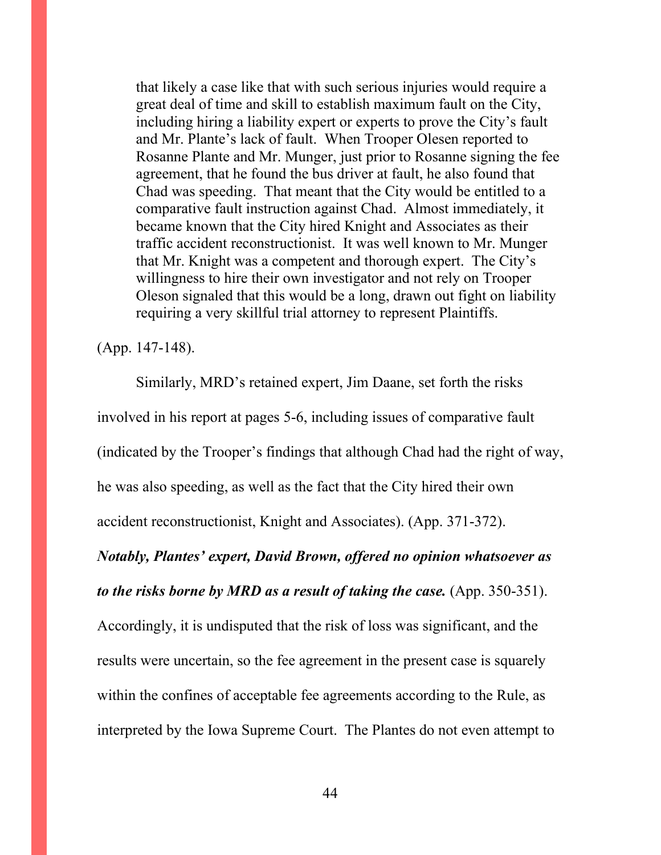that likely a case like that with such serious injuries would require a great deal of time and skill to establish maximum fault on the City, including hiring a liability expert or experts to prove the City's fault and Mr. Plante's lack of fault. When Trooper Olesen reported to Rosanne Plante and Mr. Munger, just prior to Rosanne signing the fee agreement, that he found the bus driver at fault, he also found that Chad was speeding. That meant that the City would be entitled to a comparative fault instruction against Chad. Almost immediately, it became known that the City hired Knight and Associates as their traffic accident reconstructionist. It was well known to Mr. Munger that Mr. Knight was a competent and thorough expert. The City's willingness to hire their own investigator and not rely on Trooper Oleson signaled that this would be a long, drawn out fight on liability requiring a very skillful trial attorney to represent Plaintiffs.

(App. 147-148).

Similarly, MRD's retained expert, Jim Daane, set forth the risks involved in his report at pages 5-6, including issues of comparative fault (indicated by the Trooper's findings that although Chad had the right of way, he was also speeding, as well as the fact that the City hired their own accident reconstructionist, Knight and Associates). (App. 371-372).

#### *Notably, Plantes' expert, David Brown, offered no opinion whatsoever as*

*to the risks borne by MRD as a result of taking the case.* (App. 350-351).

Accordingly, it is undisputed that the risk of loss was significant, and the results were uncertain, so the fee agreement in the present case is squarely within the confines of acceptable fee agreements according to the Rule, as interpreted by the Iowa Supreme Court. The Plantes do not even attempt to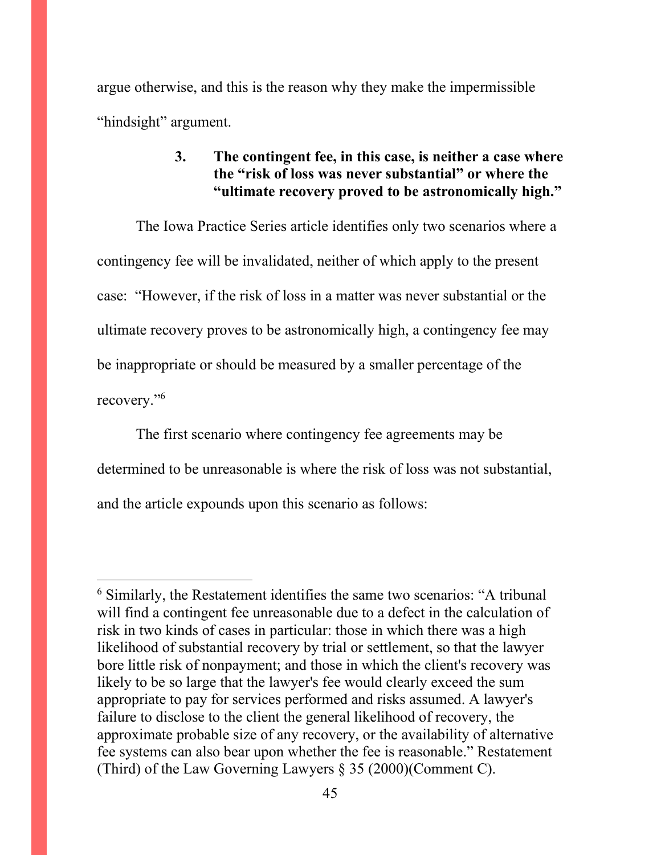argue otherwise, and this is the reason why they make the impermissible "hindsight" argument.

# **3. The contingent fee, in this case, is neither a case where the "risk of loss was never substantial" or where the "ultimate recovery proved to be astronomically high."**

The Iowa Practice Series article identifies only two scenarios where a contingency fee will be invalidated, neither of which apply to the present case: "However, if the risk of loss in a matter was never substantial or the ultimate recovery proves to be astronomically high, a contingency fee may be inappropriate or should be measured by a smaller percentage of the recovery."<sup>6</sup>

The first scenario where contingency fee agreements may be determined to be unreasonable is where the risk of loss was not substantial, and the article expounds upon this scenario as follows:

<sup>6</sup> Similarly, the Restatement identifies the same two scenarios: "A tribunal will find a contingent fee unreasonable due to a defect in the calculation of risk in two kinds of cases in particular: those in which there was a high likelihood of substantial recovery by trial or settlement, so that the lawyer bore little risk of nonpayment; and those in which the client's recovery was likely to be so large that the lawyer's fee would clearly exceed the sum appropriate to pay for services performed and risks assumed. A lawyer's failure to disclose to the client the general likelihood of recovery, the approximate probable size of any recovery, or the availability of alternative fee systems can also bear upon whether the fee is reasonable." Restatement (Third) of the Law Governing Lawyers § 35 (2000)(Comment C).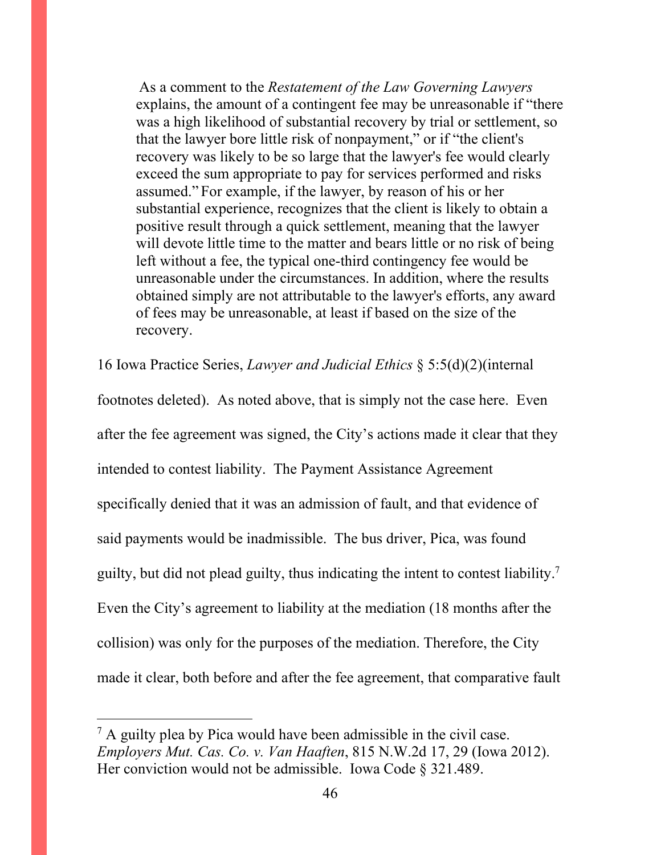As a comment to the *Restatement of the Law Governing Lawyers*  explains, the amount of a contingent fee may be unreasonable if "there was a high likelihood of substantial recovery by trial or settlement, so that the lawyer bore little risk of nonpayment," or if "the client's recovery was likely to be so large that the lawyer's fee would clearly exceed the sum appropriate to pay for services performed and risks assumed." For example, if the lawyer, by reason of his or her substantial experience, recognizes that the client is likely to obtain a positive result through a quick settlement, meaning that the lawyer will devote little time to the matter and bears little or no risk of being left without a fee, the typical one-third contingency fee would be unreasonable under the circumstances. In addition, where the results obtained simply are not attributable to the lawyer's efforts, any award of fees may be unreasonable, at least if based on the size of the recovery.

16 Iowa Practice Series, *Lawyer and Judicial Ethics* § 5:5(d)(2)(internal

footnotes deleted). As noted above, that is simply not the case here. Even after the fee agreement was signed, the City's actions made it clear that they intended to contest liability. The Payment Assistance Agreement specifically denied that it was an admission of fault, and that evidence of said payments would be inadmissible. The bus driver, Pica, was found guilty, but did not plead guilty, thus indicating the intent to contest liability.<sup>7</sup> Even the City's agreement to liability at the mediation (18 months after the collision) was only for the purposes of the mediation. Therefore, the City made it clear, both before and after the fee agreement, that comparative fault

 $<sup>7</sup>$  A guilty plea by Pica would have been admissible in the civil case.</sup> *Employers Mut. Cas. Co. v. Van Haaften*, 815 N.W.2d 17, 29 (Iowa 2012). Her conviction would not be admissible. Iowa Code § 321.489.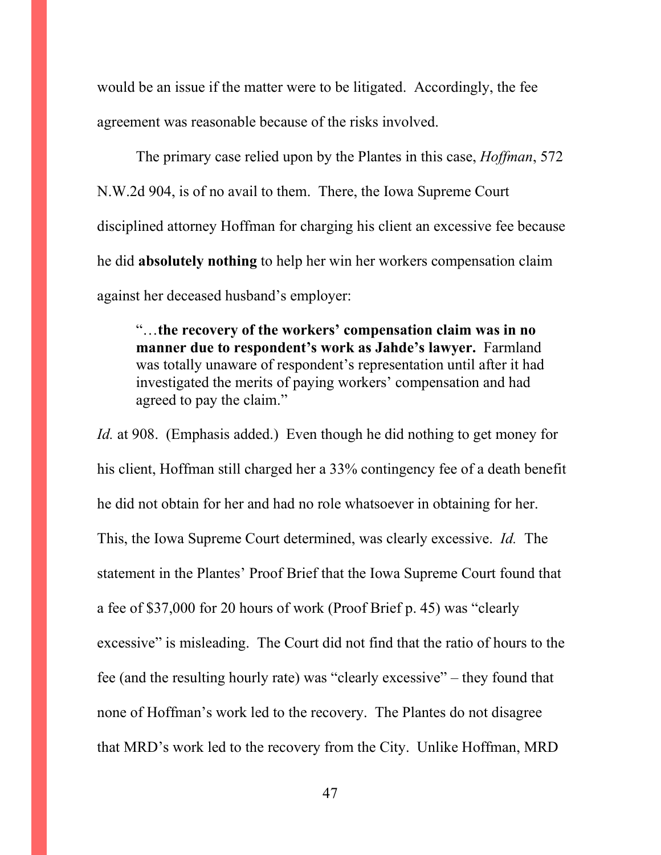would be an issue if the matter were to be litigated. Accordingly, the fee agreement was reasonable because of the risks involved.

The primary case relied upon by the Plantes in this case, *Hoffman*, 572 N.W.2d 904, is of no avail to them. There, the Iowa Supreme Court disciplined attorney Hoffman for charging his client an excessive fee because he did **absolutely nothing** to help her win her workers compensation claim against her deceased husband's employer:

"…**the recovery of the workers' compensation claim was in no manner due to respondent's work as Jahde's lawyer.** Farmland was totally unaware of respondent's representation until after it had investigated the merits of paying workers' compensation and had agreed to pay the claim."

*Id.* at 908. (Emphasis added.) Even though he did nothing to get money for his client, Hoffman still charged her a 33% contingency fee of a death benefit he did not obtain for her and had no role whatsoever in obtaining for her. This, the Iowa Supreme Court determined, was clearly excessive. *Id.* The statement in the Plantes' Proof Brief that the Iowa Supreme Court found that a fee of \$37,000 for 20 hours of work (Proof Brief p. 45) was "clearly excessive" is misleading. The Court did not find that the ratio of hours to the fee (and the resulting hourly rate) was "clearly excessive" – they found that none of Hoffman's work led to the recovery. The Plantes do not disagree that MRD's work led to the recovery from the City. Unlike Hoffman, MRD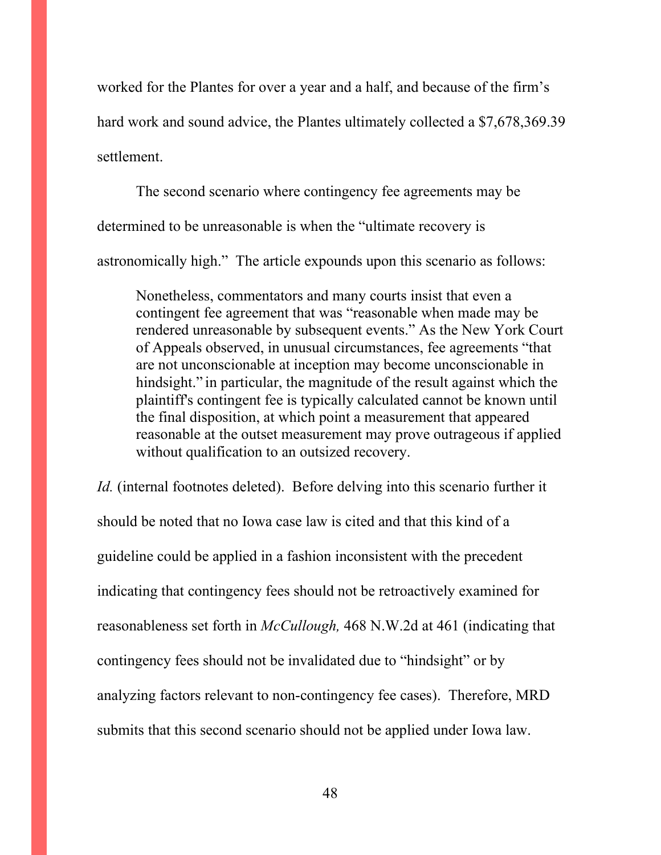worked for the Plantes for over a year and a half, and because of the firm's hard work and sound advice, the Plantes ultimately collected a \$7,678,369.39 settlement.

 The second scenario where contingency fee agreements may be determined to be unreasonable is when the "ultimate recovery is astronomically high." The article expounds upon this scenario as follows:

Nonetheless, commentators and many courts insist that even a contingent fee agreement that was "reasonable when made may be rendered unreasonable by subsequent events." As the New York Court of Appeals observed, in unusual circumstances, fee agreements "that are not unconscionable at inception may become unconscionable in hindsight." in particular, the magnitude of the result against which the plaintiff's contingent fee is typically calculated cannot be known until the final disposition, at which point a measurement that appeared reasonable at the outset measurement may prove outrageous if applied without qualification to an outsized recovery.

*Id.* (internal footnotes deleted). Before delving into this scenario further it should be noted that no Iowa case law is cited and that this kind of a guideline could be applied in a fashion inconsistent with the precedent indicating that contingency fees should not be retroactively examined for reasonableness set forth in *McCullough,* 468 N.W.2d at 461 (indicating that contingency fees should not be invalidated due to "hindsight" or by analyzing factors relevant to non-contingency fee cases). Therefore, MRD submits that this second scenario should not be applied under Iowa law.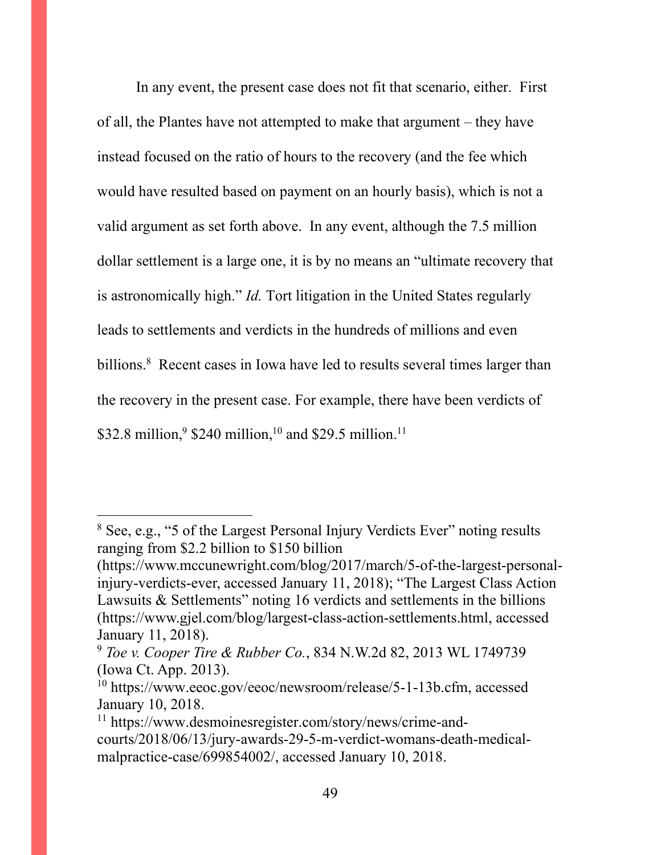In any event, the present case does not fit that scenario, either. First of all, the Plantes have not attempted to make that argument – they have instead focused on the ratio of hours to the recovery (and the fee which would have resulted based on payment on an hourly basis), which is not a valid argument as set forth above. In any event, although the 7.5 million dollar settlement is a large one, it is by no means an "ultimate recovery that is astronomically high." *Id.* Tort litigation in the United States regularly leads to settlements and verdicts in the hundreds of millions and even billions.<sup>8</sup> Recent cases in Iowa have led to results several times larger than the recovery in the present case. For example, there have been verdicts of \$32.8 million,<sup>9</sup> \$240 million,<sup>10</sup> and \$29.5 million.<sup>11</sup>

<sup>8</sup> See, e.g., "5 of the Largest Personal Injury Verdicts Ever" noting results ranging from \$2.2 billion to \$150 billion

<sup>(</sup>https://www.mccunewright.com/blog/2017/march/5-of-the-largest-personalinjury-verdicts-ever, accessed January 11, 2018); "The Largest Class Action Lawsuits & Settlements" noting 16 verdicts and settlements in the billions (https://www.gjel.com/blog/largest-class-action-settlements.html, accessed January 11, 2018).

<sup>9</sup> *Toe v. Cooper Tire & Rubber Co.*, 834 N.W.2d 82, 2013 WL 1749739 (Iowa Ct. App. 2013).

<sup>&</sup>lt;sup>10</sup> https://www.eeoc.gov/eeoc/newsroom/release/5-1-13b.cfm, accessed January 10, 2018.

<sup>11</sup> https://www.desmoinesregister.com/story/news/crime-andcourts/2018/06/13/jury-awards-29-5-m-verdict-womans-death-medicalmalpractice-case/699854002/, accessed January 10, 2018.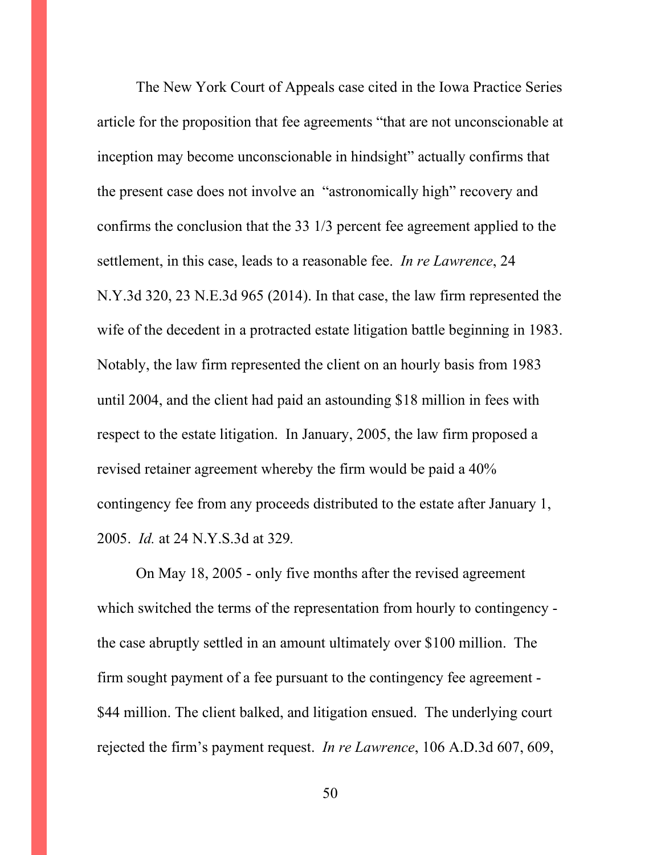The New York Court of Appeals case cited in the Iowa Practice Series article for the proposition that fee agreements "that are not unconscionable at inception may become unconscionable in hindsight" actually confirms that the present case does not involve an "astronomically high" recovery and confirms the conclusion that the 33 1/3 percent fee agreement applied to the settlement, in this case, leads to a reasonable fee. *In re Lawrence*, 24 N.Y.3d 320, 23 N.E.3d 965 (2014). In that case, the law firm represented the wife of the decedent in a protracted estate litigation battle beginning in 1983. Notably, the law firm represented the client on an hourly basis from 1983 until 2004, and the client had paid an astounding \$18 million in fees with respect to the estate litigation. In January, 2005, the law firm proposed a revised retainer agreement whereby the firm would be paid a 40% contingency fee from any proceeds distributed to the estate after January 1, 2005. *Id.* at 24 N.Y.S.3d at 329*.* 

On May 18, 2005 - only five months after the revised agreement which switched the terms of the representation from hourly to contingency the case abruptly settled in an amount ultimately over \$100 million. The firm sought payment of a fee pursuant to the contingency fee agreement - \$44 million. The client balked, and litigation ensued. The underlying court rejected the firm's payment request. *In re Lawrence*, 106 A.D.3d 607, 609,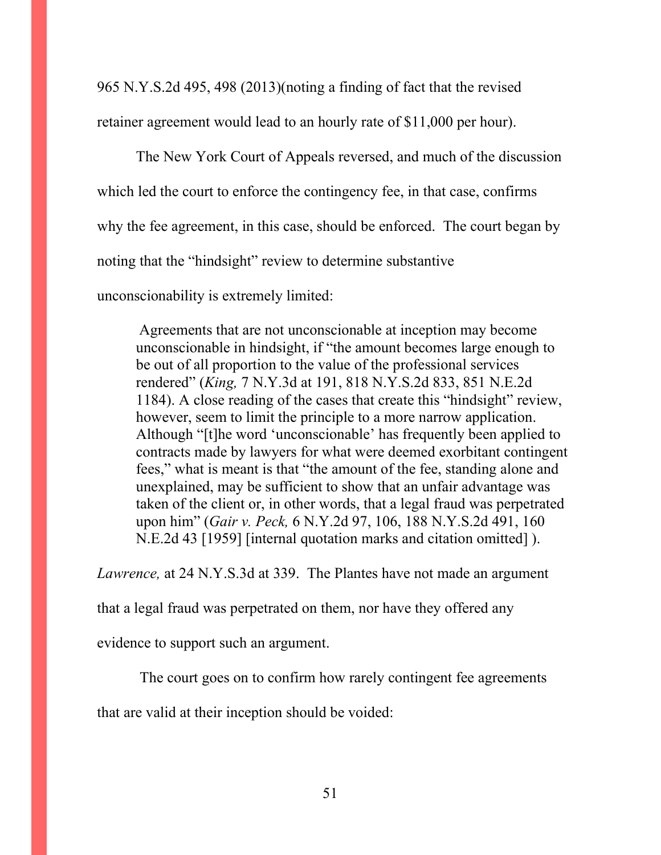965 N.Y.S.2d 495, 498 (2013)(noting a finding of fact that the revised retainer agreement would lead to an hourly rate of \$11,000 per hour).

The New York Court of Appeals reversed, and much of the discussion which led the court to enforce the contingency fee, in that case, confirms why the fee agreement, in this case, should be enforced. The court began by noting that the "hindsight" review to determine substantive unconscionability is extremely limited:

Agreements that are not unconscionable at inception may become unconscionable in hindsight, if "the amount becomes large enough to be out of all proportion to the value of the professional services rendered" (*King,* 7 N.Y.3d at 191, 818 N.Y.S.2d 833, 851 N.E.2d 1184). A close reading of the cases that create this "hindsight" review, however, seem to limit the principle to a more narrow application. Although "[t]he word 'unconscionable' has frequently been applied to contracts made by lawyers for what were deemed exorbitant contingent fees," what is meant is that "the amount of the fee, standing alone and unexplained, may be sufficient to show that an unfair advantage was taken of the client or, in other words, that a legal fraud was perpetrated upon him" (*Gair v. Peck,* 6 N.Y.2d 97, 106, 188 N.Y.S.2d 491, 160 N.E.2d 43 [1959] [internal quotation marks and citation omitted] ).

*Lawrence,* at 24 N.Y.S.3d at 339. The Plantes have not made an argument

that a legal fraud was perpetrated on them, nor have they offered any

evidence to support such an argument.

The court goes on to confirm how rarely contingent fee agreements

that are valid at their inception should be voided: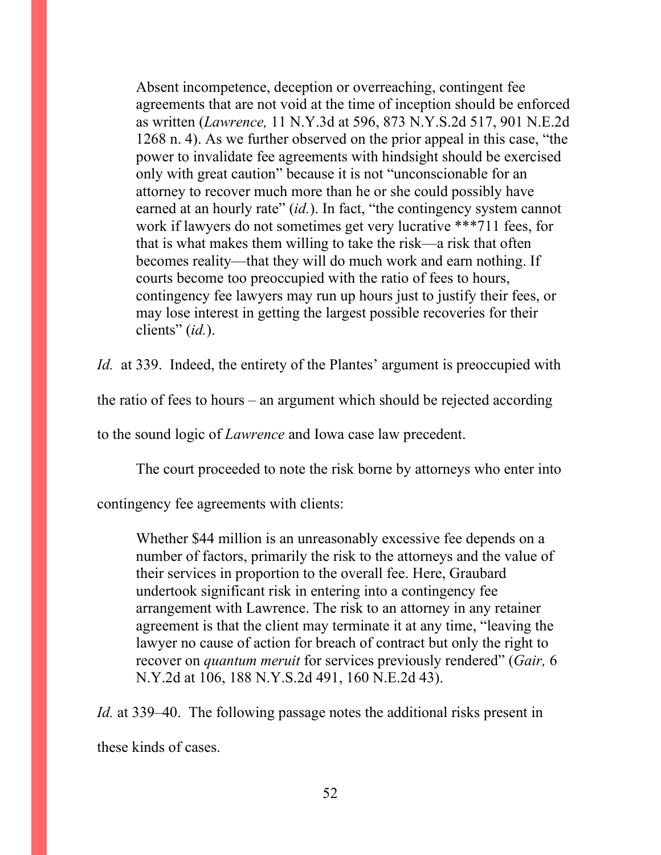Absent incompetence, deception or overreaching, contingent fee agreements that are not void at the time of inception should be enforced as written (*Lawrence,* 11 N.Y.3d at 596, 873 N.Y.S.2d 517, 901 N.E.2d 1268 n. 4). As we further observed on the prior appeal in this case, "the power to invalidate fee agreements with hindsight should be exercised only with great caution" because it is not "unconscionable for an attorney to recover much more than he or she could possibly have earned at an hourly rate" *(id.)*. In fact, "the contingency system cannot work if lawyers do not sometimes get very lucrative \*\*\*711 fees, for that is what makes them willing to take the risk—a risk that often becomes reality—that they will do much work and earn nothing. If courts become too preoccupied with the ratio of fees to hours, contingency fee lawyers may run up hours just to justify their fees, or may lose interest in getting the largest possible recoveries for their clients" (*id.*).

*Id.* at 339. Indeed, the entirety of the Plantes' argument is preoccupied with

the ratio of fees to hours – an argument which should be rejected according

to the sound logic of *Lawrence* and Iowa case law precedent.

The court proceeded to note the risk borne by attorneys who enter into

contingency fee agreements with clients:

Whether \$44 million is an unreasonably excessive fee depends on a number of factors, primarily the risk to the attorneys and the value of their services in proportion to the overall fee. Here, Graubard undertook significant risk in entering into a contingency fee arrangement with Lawrence. The risk to an attorney in any retainer agreement is that the client may terminate it at any time, "leaving the lawyer no cause of action for breach of contract but only the right to recover on *quantum meruit* for services previously rendered" (*Gair,* 6 N.Y.2d at 106, 188 N.Y.S.2d 491, 160 N.E.2d 43).

*Id.* at 339–40. The following passage notes the additional risks present in these kinds of cases.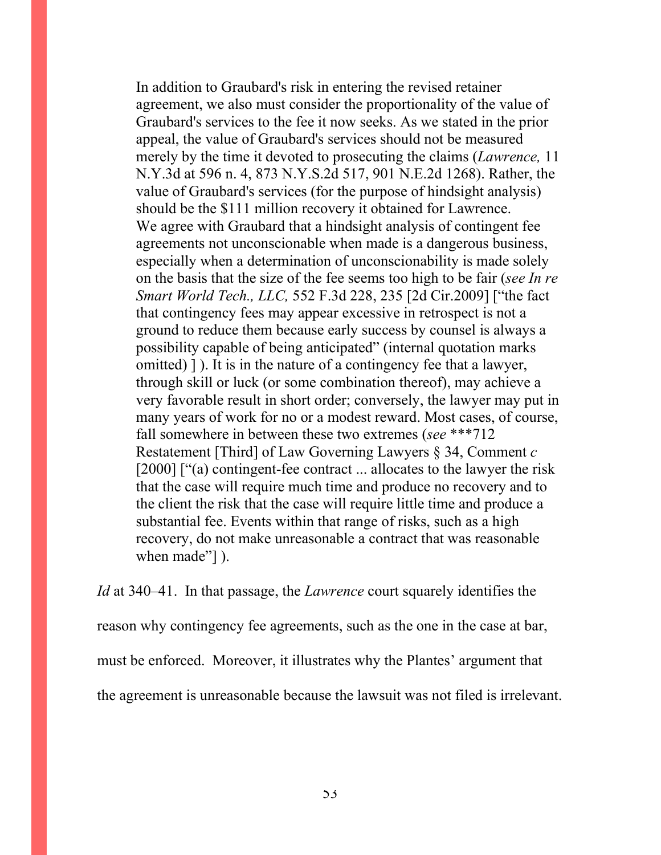In addition to Graubard's risk in entering the revised retainer agreement, we also must consider the proportionality of the value of Graubard's services to the fee it now seeks. As we stated in the prior appeal, the value of Graubard's services should not be measured merely by the time it devoted to prosecuting the claims (*Lawrence,* 11 N.Y.3d at 596 n. 4, 873 N.Y.S.2d 517, 901 N.E.2d 1268). Rather, the value of Graubard's services (for the purpose of hindsight analysis) should be the \$111 million recovery it obtained for Lawrence. We agree with Graubard that a hindsight analysis of contingent fee agreements not unconscionable when made is a dangerous business, especially when a determination of unconscionability is made solely on the basis that the size of the fee seems too high to be fair (*see In re Smart World Tech., LLC,* 552 F.3d 228, 235 [2d Cir.2009] ["the fact that contingency fees may appear excessive in retrospect is not a ground to reduce them because early success by counsel is always a possibility capable of being anticipated" (internal quotation marks omitted) ] ). It is in the nature of a contingency fee that a lawyer, through skill or luck (or some combination thereof), may achieve a very favorable result in short order; conversely, the lawyer may put in many years of work for no or a modest reward. Most cases, of course, fall somewhere in between these two extremes (*see* \*\*\*712 Restatement [Third] of Law Governing Lawyers § 34, Comment *c*  [2000] ["(a) contingent-fee contract ... allocates to the lawyer the risk that the case will require much time and produce no recovery and to the client the risk that the case will require little time and produce a substantial fee. Events within that range of risks, such as a high recovery, do not make unreasonable a contract that was reasonable when made"] ).

*Id* at 340–41. In that passage, the *Lawrence* court squarely identifies the reason why contingency fee agreements, such as the one in the case at bar, must be enforced. Moreover, it illustrates why the Plantes' argument that the agreement is unreasonable because the lawsuit was not filed is irrelevant.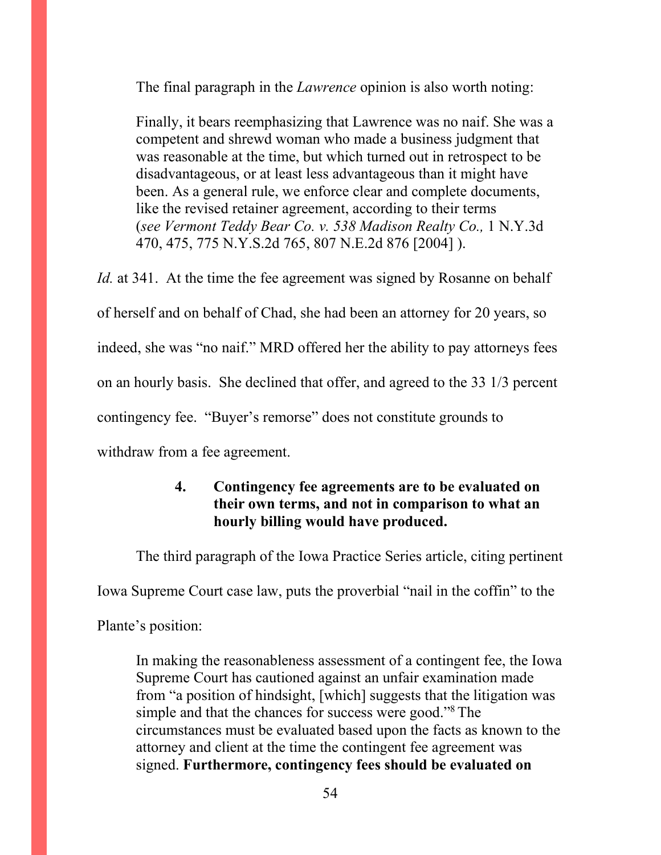The final paragraph in the *Lawrence* opinion is also worth noting:

Finally, it bears reemphasizing that Lawrence was no naif. She was a competent and shrewd woman who made a business judgment that was reasonable at the time, but which turned out in retrospect to be disadvantageous, or at least less advantageous than it might have been. As a general rule, we enforce clear and complete documents, like the revised retainer agreement, according to their terms (*see Vermont Teddy Bear Co. v. 538 Madison Realty Co.,* 1 N.Y.3d 470, 475, 775 N.Y.S.2d 765, 807 N.E.2d 876 [2004] ).

*Id.* at 341. At the time the fee agreement was signed by Rosanne on behalf of herself and on behalf of Chad, she had been an attorney for 20 years, so indeed, she was "no naif." MRD offered her the ability to pay attorneys fees on an hourly basis. She declined that offer, and agreed to the 33 1/3 percent contingency fee. "Buyer's remorse" does not constitute grounds to withdraw from a fee agreement.

# **4. Contingency fee agreements are to be evaluated on their own terms, and not in comparison to what an hourly billing would have produced.**

The third paragraph of the Iowa Practice Series article, citing pertinent

Iowa Supreme Court case law, puts the proverbial "nail in the coffin" to the

Plante's position:

In making the reasonableness assessment of a contingent fee, the Iowa Supreme Court has cautioned against an unfair examination made from "a position of hindsight, [which] suggests that the litigation was simple and that the chances for success were good."<sup>8</sup>The circumstances must be evaluated based upon the facts as known to the attorney and client at the time the contingent fee agreement was signed. **Furthermore, contingency fees should be evaluated on**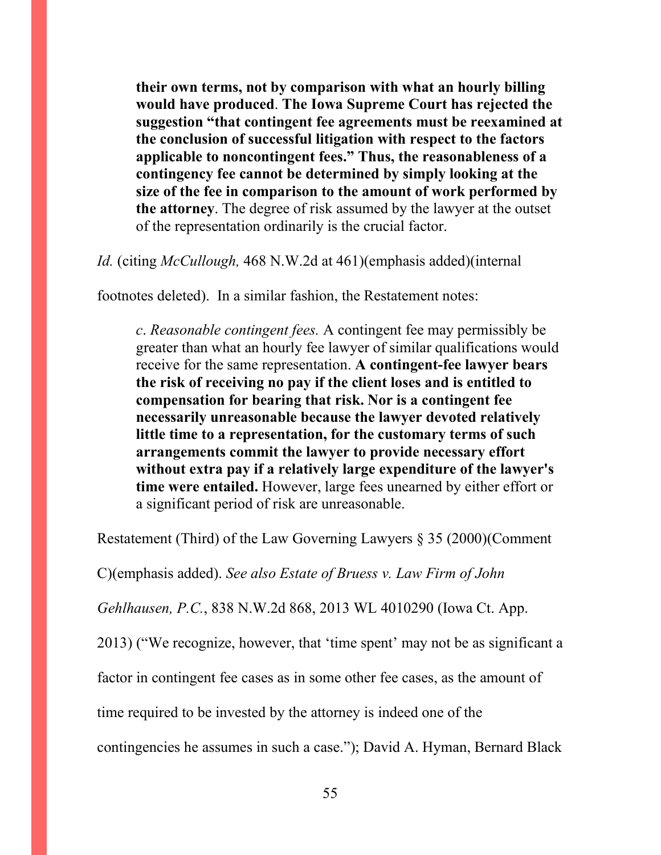**their own terms, not by comparison with what an hourly billing would have produced**. **The Iowa Supreme Court has rejected the suggestion "that contingent fee agreements must be reexamined at the conclusion of successful litigation with respect to the factors applicable to noncontingent fees." Thus, the reasonableness of a contingency fee cannot be determined by simply looking at the size of the fee in comparison to the amount of work performed by the attorney**. The degree of risk assumed by the lawyer at the outset of the representation ordinarily is the crucial factor.

*Id.* (citing *McCullough,* 468 N.W.2d at 461)(emphasis added)(internal

footnotes deleted). In a similar fashion, the Restatement notes:

*c*. *Reasonable contingent fees.* A contingent fee may permissibly be greater than what an hourly fee lawyer of similar qualifications would receive for the same representation. **A contingent-fee lawyer bears the risk of receiving no pay if the client loses and is entitled to compensation for bearing that risk. Nor is a contingent fee necessarily unreasonable because the lawyer devoted relatively little time to a representation, for the customary terms of such arrangements commit the lawyer to provide necessary effort without extra pay if a relatively large expenditure of the lawyer's time were entailed.** However, large fees unearned by either effort or a significant period of risk are unreasonable.

Restatement (Third) of the Law Governing Lawyers § 35 (2000)(Comment

C)(emphasis added). *See also Estate of Bruess v. Law Firm of John* 

*Gehlhausen, P.C.*, 838 N.W.2d 868, 2013 WL 4010290 (Iowa Ct. App.

2013) ("We recognize, however, that 'time spent' may not be as significant a

factor in contingent fee cases as in some other fee cases, as the amount of

time required to be invested by the attorney is indeed one of the

contingencies he assumes in such a case."); David A. Hyman, Bernard Black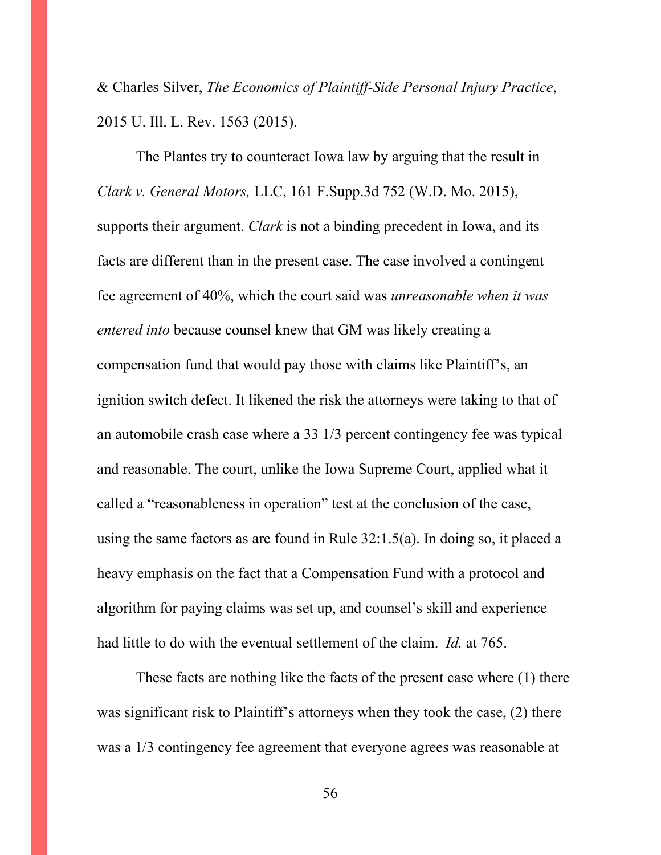& Charles Silver, *The Economics of Plaintiff-Side Personal Injury Practice*, 2015 U. Ill. L. Rev. 1563 (2015).

 The Plantes try to counteract Iowa law by arguing that the result in *Clark v. General Motors,* LLC, 161 F.Supp.3d 752 (W.D. Mo. 2015), supports their argument. *Clark* is not a binding precedent in Iowa, and its facts are different than in the present case. The case involved a contingent fee agreement of 40%, which the court said was *unreasonable when it was entered into* because counsel knew that GM was likely creating a compensation fund that would pay those with claims like Plaintiff's, an ignition switch defect. It likened the risk the attorneys were taking to that of an automobile crash case where a 33 1/3 percent contingency fee was typical and reasonable. The court, unlike the Iowa Supreme Court, applied what it called a "reasonableness in operation" test at the conclusion of the case, using the same factors as are found in Rule 32:1.5(a). In doing so, it placed a heavy emphasis on the fact that a Compensation Fund with a protocol and algorithm for paying claims was set up, and counsel's skill and experience had little to do with the eventual settlement of the claim. *Id.* at 765.

These facts are nothing like the facts of the present case where (1) there was significant risk to Plaintiff's attorneys when they took the case, (2) there was a 1/3 contingency fee agreement that everyone agrees was reasonable at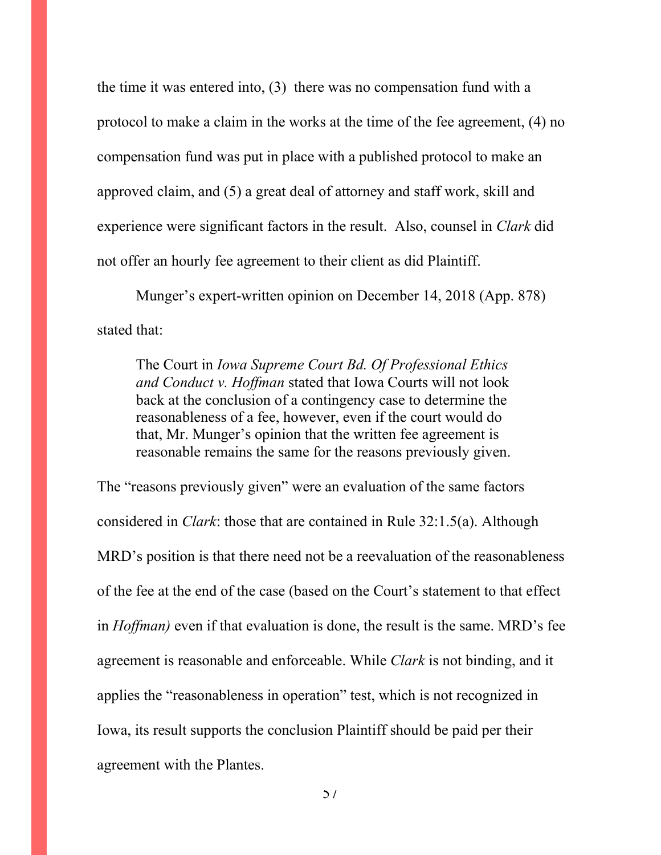the time it was entered into, (3) there was no compensation fund with a protocol to make a claim in the works at the time of the fee agreement, (4) no compensation fund was put in place with a published protocol to make an approved claim, and (5) a great deal of attorney and staff work, skill and experience were significant factors in the result. Also, counsel in *Clark* did not offer an hourly fee agreement to their client as did Plaintiff.

Munger's expert-written opinion on December 14, 2018 (App. 878) stated that:

The Court in *Iowa Supreme Court Bd. Of Professional Ethics and Conduct v. Hoffman* stated that Iowa Courts will not look back at the conclusion of a contingency case to determine the reasonableness of a fee, however, even if the court would do that, Mr. Munger's opinion that the written fee agreement is reasonable remains the same for the reasons previously given.

The "reasons previously given" were an evaluation of the same factors considered in *Clark*: those that are contained in Rule 32:1.5(a). Although MRD's position is that there need not be a reevaluation of the reasonableness of the fee at the end of the case (based on the Court's statement to that effect in *Hoffman)* even if that evaluation is done, the result is the same. MRD's fee agreement is reasonable and enforceable. While *Clark* is not binding, and it applies the "reasonableness in operation" test, which is not recognized in Iowa, its result supports the conclusion Plaintiff should be paid per their agreement with the Plantes.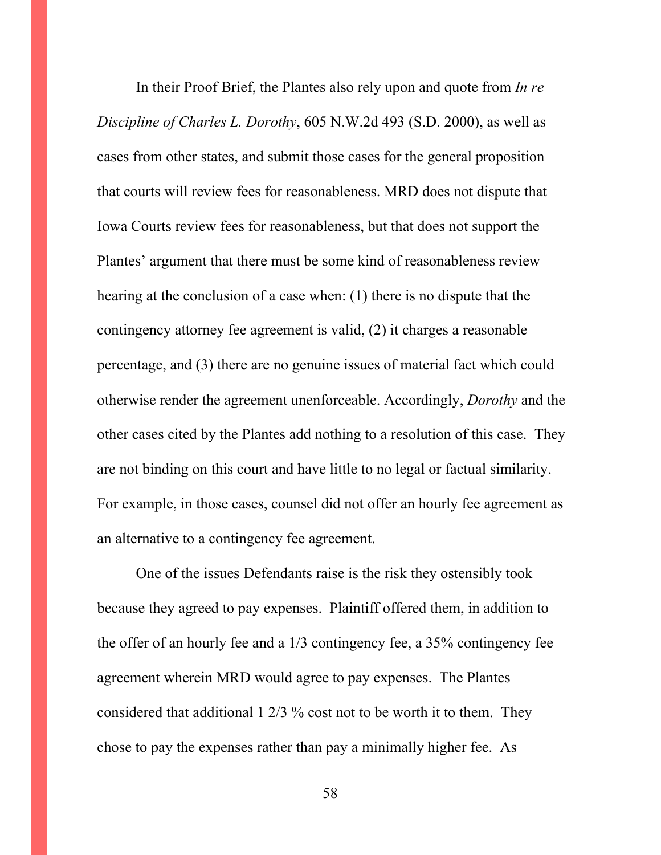In their Proof Brief, the Plantes also rely upon and quote from *In re Discipline of Charles L. Dorothy*, 605 N.W.2d 493 (S.D. 2000), as well as cases from other states, and submit those cases for the general proposition that courts will review fees for reasonableness. MRD does not dispute that Iowa Courts review fees for reasonableness, but that does not support the Plantes' argument that there must be some kind of reasonableness review hearing at the conclusion of a case when: (1) there is no dispute that the contingency attorney fee agreement is valid, (2) it charges a reasonable percentage, and (3) there are no genuine issues of material fact which could otherwise render the agreement unenforceable. Accordingly, *Dorothy* and the other cases cited by the Plantes add nothing to a resolution of this case. They are not binding on this court and have little to no legal or factual similarity. For example, in those cases, counsel did not offer an hourly fee agreement as an alternative to a contingency fee agreement.

One of the issues Defendants raise is the risk they ostensibly took because they agreed to pay expenses. Plaintiff offered them, in addition to the offer of an hourly fee and a 1/3 contingency fee, a 35% contingency fee agreement wherein MRD would agree to pay expenses. The Plantes considered that additional 1 2/3 % cost not to be worth it to them. They chose to pay the expenses rather than pay a minimally higher fee. As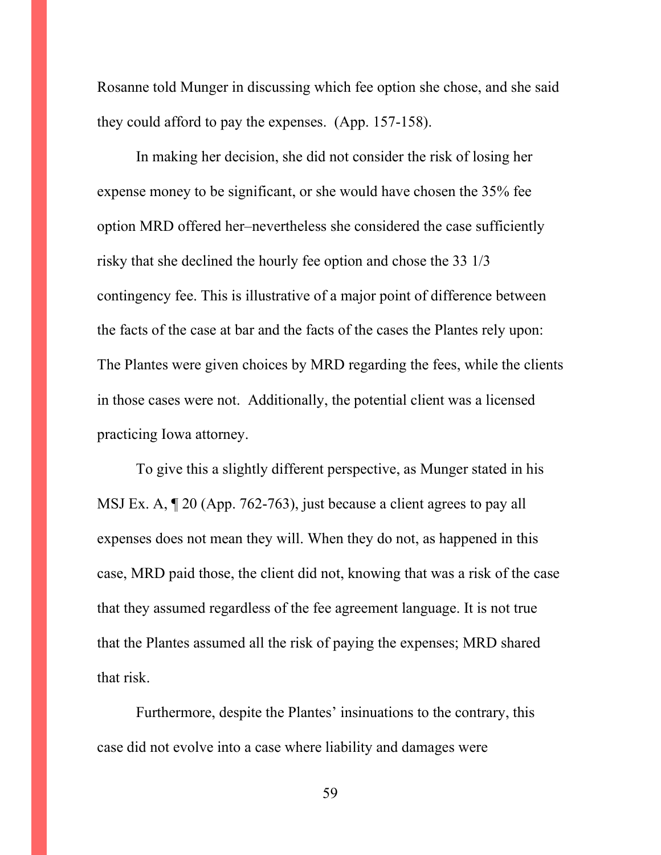Rosanne told Munger in discussing which fee option she chose, and she said they could afford to pay the expenses. (App. 157-158).

In making her decision, she did not consider the risk of losing her expense money to be significant, or she would have chosen the 35% fee option MRD offered her–nevertheless she considered the case sufficiently risky that she declined the hourly fee option and chose the 33 1/3 contingency fee. This is illustrative of a major point of difference between the facts of the case at bar and the facts of the cases the Plantes rely upon: The Plantes were given choices by MRD regarding the fees, while the clients in those cases were not. Additionally, the potential client was a licensed practicing Iowa attorney.

To give this a slightly different perspective, as Munger stated in his MSJ Ex. A, ¶ 20 (App. 762-763), just because a client agrees to pay all expenses does not mean they will. When they do not, as happened in this case, MRD paid those, the client did not, knowing that was a risk of the case that they assumed regardless of the fee agreement language. It is not true that the Plantes assumed all the risk of paying the expenses; MRD shared that risk.

 Furthermore, despite the Plantes' insinuations to the contrary, this case did not evolve into a case where liability and damages were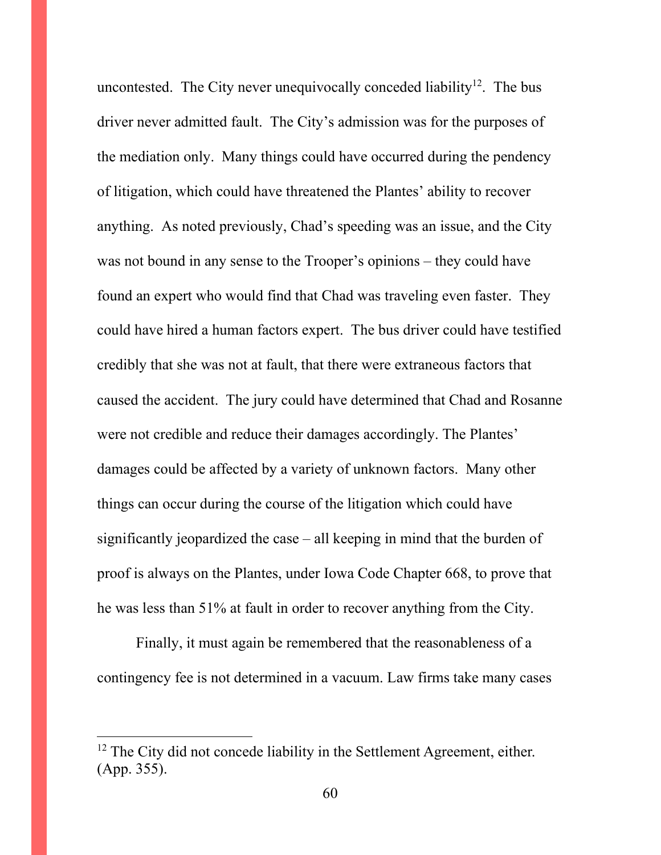uncontested. The City never unequivocally conceded liability<sup>12</sup>. The bus driver never admitted fault. The City's admission was for the purposes of the mediation only. Many things could have occurred during the pendency of litigation, which could have threatened the Plantes' ability to recover anything. As noted previously, Chad's speeding was an issue, and the City was not bound in any sense to the Trooper's opinions – they could have found an expert who would find that Chad was traveling even faster. They could have hired a human factors expert. The bus driver could have testified credibly that she was not at fault, that there were extraneous factors that caused the accident. The jury could have determined that Chad and Rosanne were not credible and reduce their damages accordingly. The Plantes' damages could be affected by a variety of unknown factors. Many other things can occur during the course of the litigation which could have significantly jeopardized the case – all keeping in mind that the burden of proof is always on the Plantes, under Iowa Code Chapter 668, to prove that he was less than 51% at fault in order to recover anything from the City.

 Finally, it must again be remembered that the reasonableness of a contingency fee is not determined in a vacuum. Law firms take many cases

 $12$  The City did not concede liability in the Settlement Agreement, either. (App. 355).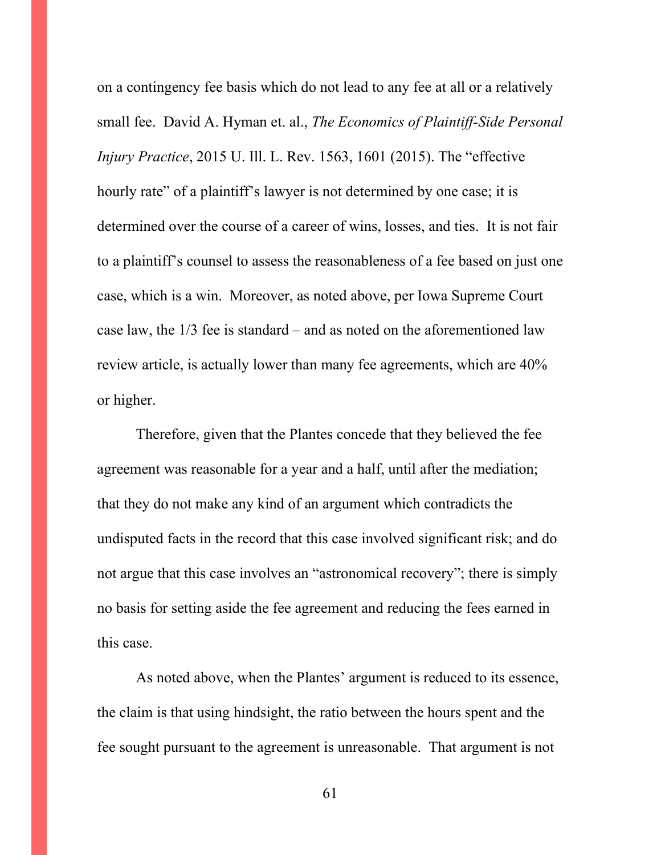on a contingency fee basis which do not lead to any fee at all or a relatively small fee. David A. Hyman et. al., *The Economics of Plaintiff-Side Personal Injury Practice*, 2015 U. Ill. L. Rev. 1563, 1601 (2015). The "effective hourly rate" of a plaintiff's lawyer is not determined by one case; it is determined over the course of a career of wins, losses, and ties. It is not fair to a plaintiff's counsel to assess the reasonableness of a fee based on just one case, which is a win. Moreover, as noted above, per Iowa Supreme Court case law, the 1/3 fee is standard – and as noted on the aforementioned law review article, is actually lower than many fee agreements, which are 40% or higher.

Therefore, given that the Plantes concede that they believed the fee agreement was reasonable for a year and a half, until after the mediation; that they do not make any kind of an argument which contradicts the undisputed facts in the record that this case involved significant risk; and do not argue that this case involves an "astronomical recovery"; there is simply no basis for setting aside the fee agreement and reducing the fees earned in this case.

As noted above, when the Plantes' argument is reduced to its essence, the claim is that using hindsight, the ratio between the hours spent and the fee sought pursuant to the agreement is unreasonable. That argument is not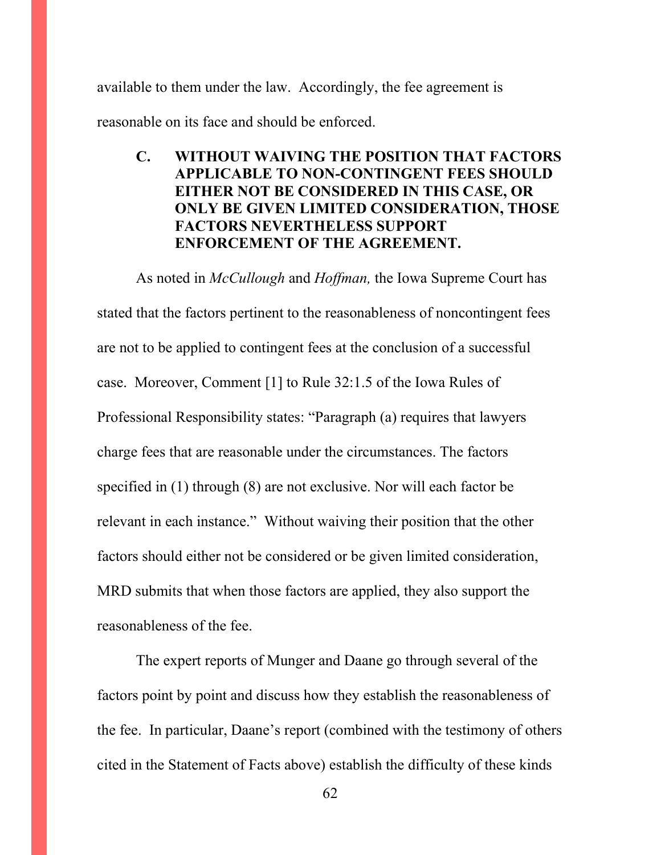available to them under the law. Accordingly, the fee agreement is reasonable on its face and should be enforced.

# **C. WITHOUT WAIVING THE POSITION THAT FACTORS APPLICABLE TO NON-CONTINGENT FEES SHOULD EITHER NOT BE CONSIDERED IN THIS CASE, OR ONLY BE GIVEN LIMITED CONSIDERATION, THOSE FACTORS NEVERTHELESS SUPPORT ENFORCEMENT OF THE AGREEMENT.**

As noted in *McCullough* and *Hoffman,* the Iowa Supreme Court has stated that the factors pertinent to the reasonableness of noncontingent fees are not to be applied to contingent fees at the conclusion of a successful case. Moreover, Comment [1] to Rule 32:1.5 of the Iowa Rules of Professional Responsibility states: "Paragraph (a) requires that lawyers charge fees that are reasonable under the circumstances. The factors specified in (1) through (8) are not exclusive. Nor will each factor be relevant in each instance." Without waiving their position that the other factors should either not be considered or be given limited consideration, MRD submits that when those factors are applied, they also support the reasonableness of the fee.

The expert reports of Munger and Daane go through several of the factors point by point and discuss how they establish the reasonableness of the fee. In particular, Daane's report (combined with the testimony of others cited in the Statement of Facts above) establish the difficulty of these kinds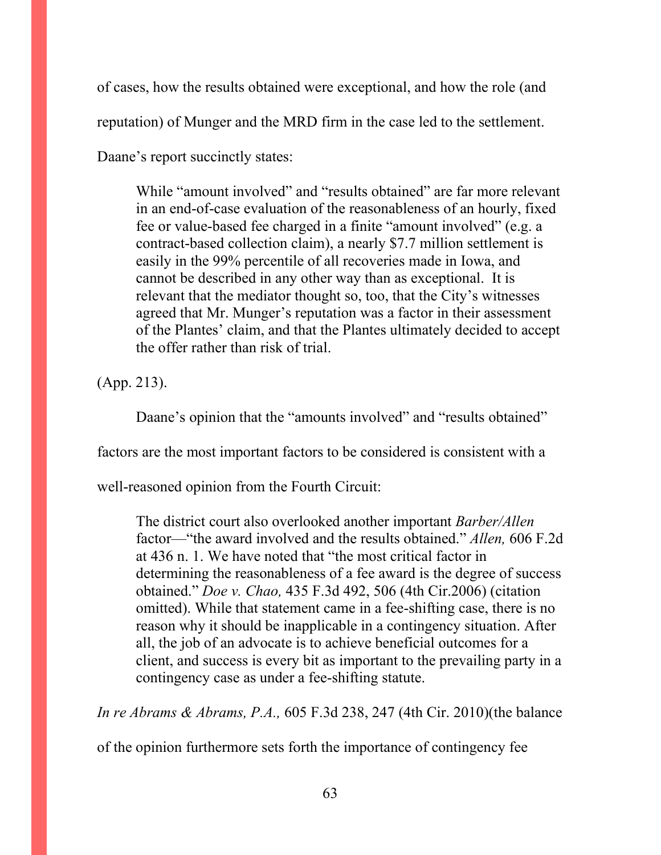of cases, how the results obtained were exceptional, and how the role (and reputation) of Munger and the MRD firm in the case led to the settlement.

Daane's report succinctly states:

While "amount involved" and "results obtained" are far more relevant in an end-of-case evaluation of the reasonableness of an hourly, fixed fee or value-based fee charged in a finite "amount involved" (e.g. a contract-based collection claim), a nearly \$7.7 million settlement is easily in the 99% percentile of all recoveries made in Iowa, and cannot be described in any other way than as exceptional. It is relevant that the mediator thought so, too, that the City's witnesses agreed that Mr. Munger's reputation was a factor in their assessment of the Plantes' claim, and that the Plantes ultimately decided to accept the offer rather than risk of trial.

(App. 213).

Daane's opinion that the "amounts involved" and "results obtained"

factors are the most important factors to be considered is consistent with a

well-reasoned opinion from the Fourth Circuit:

The district court also overlooked another important *Barber/Allen*  factor—"the award involved and the results obtained." *Allen,* 606 F.2d at 436 n. 1. We have noted that "the most critical factor in determining the reasonableness of a fee award is the degree of success obtained." *Doe v. Chao,* 435 F.3d 492, 506 (4th Cir.2006) (citation omitted). While that statement came in a fee-shifting case, there is no reason why it should be inapplicable in a contingency situation. After all, the job of an advocate is to achieve beneficial outcomes for a client, and success is every bit as important to the prevailing party in a contingency case as under a fee-shifting statute.

*In re Abrams & Abrams, P.A.,* 605 F.3d 238, 247 (4th Cir. 2010)(the balance

of the opinion furthermore sets forth the importance of contingency fee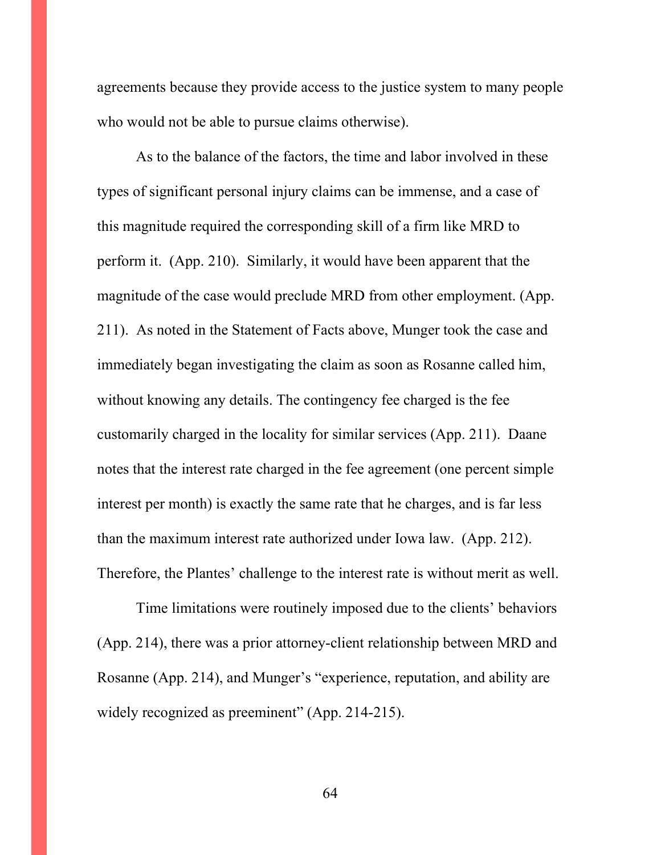agreements because they provide access to the justice system to many people who would not be able to pursue claims otherwise).

As to the balance of the factors, the time and labor involved in these types of significant personal injury claims can be immense, and a case of this magnitude required the corresponding skill of a firm like MRD to perform it. (App. 210). Similarly, it would have been apparent that the magnitude of the case would preclude MRD from other employment. (App. 211). As noted in the Statement of Facts above, Munger took the case and immediately began investigating the claim as soon as Rosanne called him, without knowing any details. The contingency fee charged is the fee customarily charged in the locality for similar services (App. 211). Daane notes that the interest rate charged in the fee agreement (one percent simple interest per month) is exactly the same rate that he charges, and is far less than the maximum interest rate authorized under Iowa law. (App. 212). Therefore, the Plantes' challenge to the interest rate is without merit as well.

Time limitations were routinely imposed due to the clients' behaviors (App. 214), there was a prior attorney-client relationship between MRD and Rosanne (App. 214), and Munger's "experience, reputation, and ability are widely recognized as preeminent" (App. 214-215).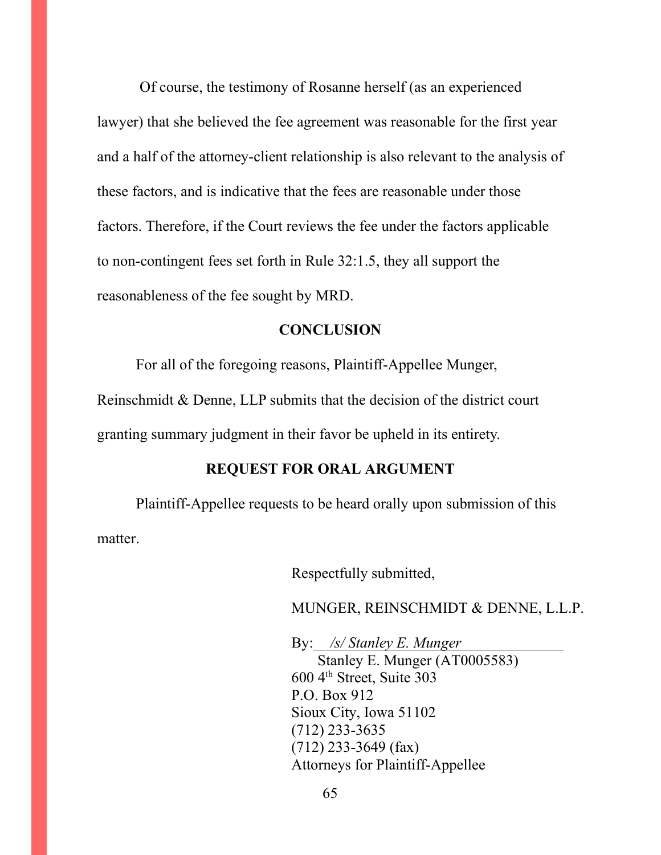Of course, the testimony of Rosanne herself (as an experienced lawyer) that she believed the fee agreement was reasonable for the first year and a half of the attorney-client relationship is also relevant to the analysis of these factors, and is indicative that the fees are reasonable under those factors. Therefore, if the Court reviews the fee under the factors applicable to non-contingent fees set forth in Rule 32:1.5, they all support the reasonableness of the fee sought by MRD.

#### **CONCLUSION**

For all of the foregoing reasons, Plaintiff-Appellee Munger, Reinschmidt & Denne, LLP submits that the decision of the district court granting summary judgment in their favor be upheld in its entirety.

### **REQUEST FOR ORAL ARGUMENT**

 Plaintiff-Appellee requests to be heard orally upon submission of this matter.

Respectfully submitted,

MUNGER, REINSCHMIDT & DENNE, L.L.P.

By: */s/ Stanley E. Munger*  Stanley E. Munger (AT0005583)  $600$  4<sup>th</sup> Street, Suite 303 P.O. Box 912 Sioux City, Iowa 51102 (712) 233-3635 (712) 233-3649 (fax) Attorneys for Plaintiff-Appellee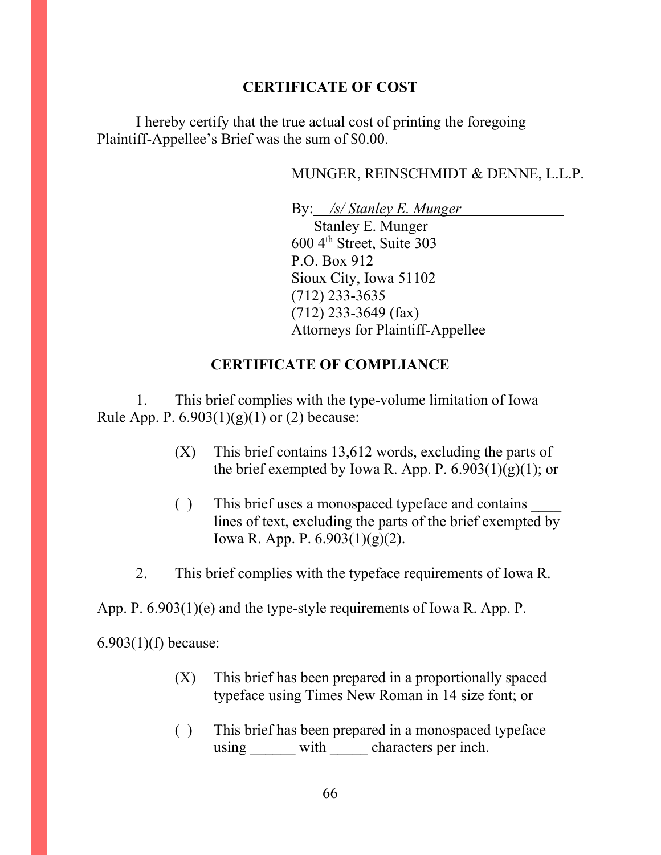# **CERTIFICATE OF COST**

I hereby certify that the true actual cost of printing the foregoing Plaintiff-Appellee's Brief was the sum of \$0.00.

# MUNGER, REINSCHMIDT & DENNE, L.L.P.

 By: */s/ Stanley E. Munger* Stanley E. Munger 600 4th Street, Suite 303 P.O. Box 912 Sioux City, Iowa 51102 (712) 233-3635 (712) 233-3649 (fax) Attorneys for Plaintiff-Appellee

# **CERTIFICATE OF COMPLIANCE**

1. This brief complies with the type-volume limitation of Iowa Rule App. P.  $6.903(1)(g)(1)$  or (2) because:

- (X) This brief contains 13,612 words, excluding the parts of the brief exempted by Iowa R. App. P.  $6.903(1)(g)(1)$ ; or
- ( ) This brief uses a monospaced typeface and contains \_\_\_\_ lines of text, excluding the parts of the brief exempted by Iowa R. App. P. 6.903(1)(g)(2).
- 2. This brief complies with the typeface requirements of Iowa R.

App. P. 6.903(1)(e) and the type-style requirements of Iowa R. App. P.

6.903(1)(f) because:

- (X) This brief has been prepared in a proportionally spaced typeface using Times New Roman in 14 size font; or
- ( ) This brief has been prepared in a monospaced typeface using with characters per inch.